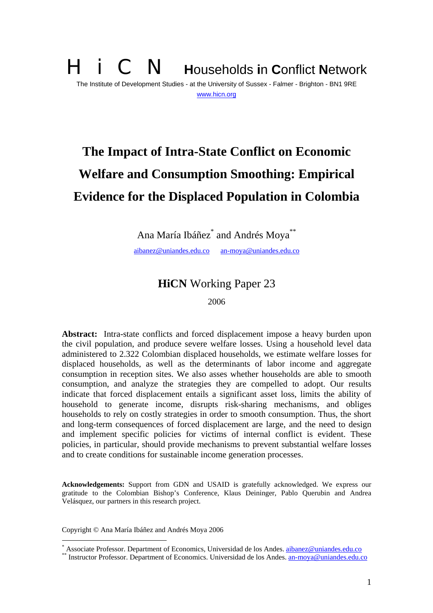# **i** C **N Households in Conflict Network** The Institute of Development Studies - at the University of Sussex - Falmer - Brighton - BN1 9RE www.hicn.org

# **The Impact of Intra-State Conflict on Economic Welfare and Consumption Smoothing: Empirical Evidence for the Displaced Population in Colombia**

Ana María Ibáñez<sup>\*</sup> and Andrés Moya<sup>\*\*</sup>

aibanez@uniandes.edu.co an-moya@uniandes.edu.co

# **HiCN** Working Paper 23

2006

**Abstract:** Intra-state conflicts and forced displacement impose a heavy burden upon the civil population, and produce severe welfare losses. Using a household level data administered to 2.322 Colombian displaced households, we estimate welfare losses for displaced households, as well as the determinants of labor income and aggregate consumption in reception sites. We also asses whether households are able to smooth consumption, and analyze the strategies they are compelled to adopt. Our results indicate that forced displacement entails a significant asset loss, limits the ability of household to generate income, disrupts risk-sharing mechanisms, and obliges households to rely on costly strategies in order to smooth consumption. Thus, the short and long-term consequences of forced displacement are large, and the need to design and implement specific policies for victims of internal conflict is evident. These policies, in particular, should provide mechanisms to prevent substantial welfare losses and to create conditions for sustainable income generation processes.

**Acknowledgements:** Support from GDN and USAID is gratefully acknowledged. We express our gratitude to the Colombian Bishop's Conference, Klaus Deininger, Pablo Querubin and Andrea Velásquez, our partners in this research project.

Copyright © Ana María Ibáñez and Andrés Moya 2006

 $\overline{a}$ 

Associate Professor. Department of Economics, Universidad de los Andes, ajbanez@uniandes.edu.co

<sup>&</sup>lt;sup>i</sup> Instructor Professor. Department of Economics, Universidad de los Andes. an-moya@uniandes.edu.co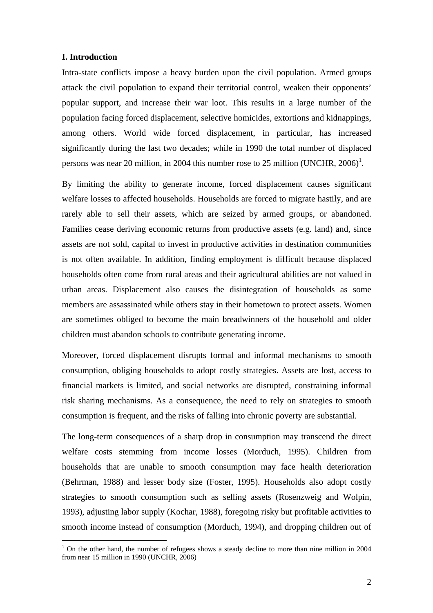#### **I. Introduction**

 $\overline{a}$ 

Intra-state conflicts impose a heavy burden upon the civil population. Armed groups attack the civil population to expand their territorial control, weaken their opponents' popular support, and increase their war loot. This results in a large number of the population facing forced displacement, selective homicides, extortions and kidnappings, among others. World wide forced displacement, in particular, has increased significantly during the last two decades; while in 1990 the total number of displaced persons was near 20 million, in 2004 this number rose to 25 million (UNCHR,  $2006$ )<sup>1</sup>.

By limiting the ability to generate income, forced displacement causes significant welfare losses to affected households. Households are forced to migrate hastily, and are rarely able to sell their assets, which are seized by armed groups, or abandoned. Families cease deriving economic returns from productive assets (e.g. land) and, since assets are not sold, capital to invest in productive activities in destination communities is not often available. In addition, finding employment is difficult because displaced households often come from rural areas and their agricultural abilities are not valued in urban areas. Displacement also causes the disintegration of households as some members are assassinated while others stay in their hometown to protect assets. Women are sometimes obliged to become the main breadwinners of the household and older children must abandon schools to contribute generating income.

Moreover, forced displacement disrupts formal and informal mechanisms to smooth consumption, obliging households to adopt costly strategies. Assets are lost, access to financial markets is limited, and social networks are disrupted, constraining informal risk sharing mechanisms. As a consequence, the need to rely on strategies to smooth consumption is frequent, and the risks of falling into chronic poverty are substantial.

The long-term consequences of a sharp drop in consumption may transcend the direct welfare costs stemming from income losses (Morduch, 1995). Children from households that are unable to smooth consumption may face health deterioration (Behrman, 1988) and lesser body size (Foster, 1995). Households also adopt costly strategies to smooth consumption such as selling assets (Rosenzweig and Wolpin, 1993), adjusting labor supply (Kochar, 1988), foregoing risky but profitable activities to smooth income instead of consumption (Morduch, 1994), and dropping children out of

<sup>&</sup>lt;sup>1</sup> On the other hand, the number of refugees shows a steady decline to more than nine million in 2004 from near 15 million in 1990 (UNCHR, 2006)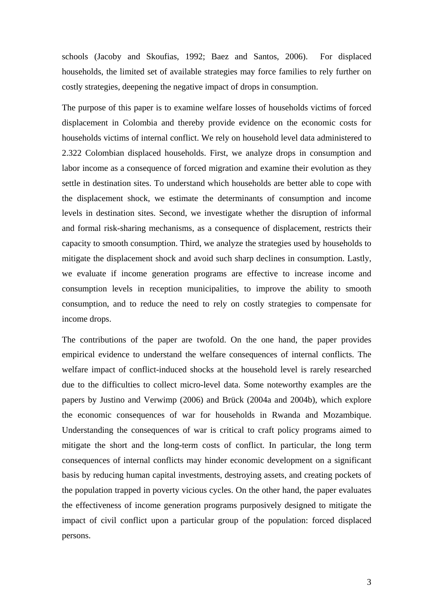schools (Jacoby and Skoufias, 1992; Baez and Santos, 2006). For displaced households, the limited set of available strategies may force families to rely further on costly strategies, deepening the negative impact of drops in consumption.

The purpose of this paper is to examine welfare losses of households victims of forced displacement in Colombia and thereby provide evidence on the economic costs for households victims of internal conflict. We rely on household level data administered to 2.322 Colombian displaced households. First, we analyze drops in consumption and labor income as a consequence of forced migration and examine their evolution as they settle in destination sites. To understand which households are better able to cope with the displacement shock, we estimate the determinants of consumption and income levels in destination sites. Second, we investigate whether the disruption of informal and formal risk-sharing mechanisms, as a consequence of displacement, restricts their capacity to smooth consumption. Third, we analyze the strategies used by households to mitigate the displacement shock and avoid such sharp declines in consumption. Lastly, we evaluate if income generation programs are effective to increase income and consumption levels in reception municipalities, to improve the ability to smooth consumption, and to reduce the need to rely on costly strategies to compensate for income drops.

The contributions of the paper are twofold. On the one hand, the paper provides empirical evidence to understand the welfare consequences of internal conflicts. The welfare impact of conflict-induced shocks at the household level is rarely researched due to the difficulties to collect micro-level data. Some noteworthy examples are the papers by Justino and Verwimp (2006) and Brück (2004a and 2004b), which explore the economic consequences of war for households in Rwanda and Mozambique. Understanding the consequences of war is critical to craft policy programs aimed to mitigate the short and the long-term costs of conflict. In particular, the long term consequences of internal conflicts may hinder economic development on a significant basis by reducing human capital investments, destroying assets, and creating pockets of the population trapped in poverty vicious cycles. On the other hand, the paper evaluates the effectiveness of income generation programs purposively designed to mitigate the impact of civil conflict upon a particular group of the population: forced displaced persons.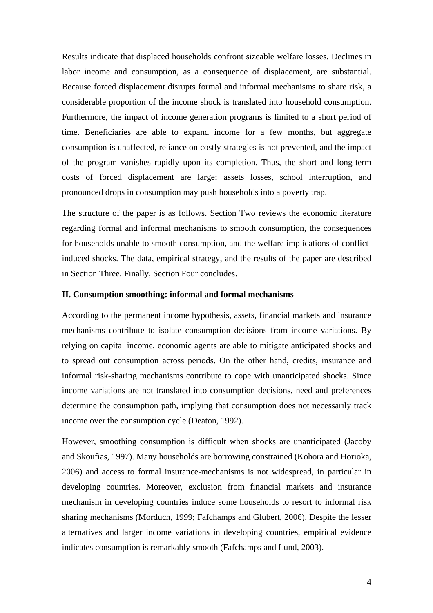Results indicate that displaced households confront sizeable welfare losses. Declines in labor income and consumption, as a consequence of displacement, are substantial. Because forced displacement disrupts formal and informal mechanisms to share risk, a considerable proportion of the income shock is translated into household consumption. Furthermore, the impact of income generation programs is limited to a short period of time. Beneficiaries are able to expand income for a few months, but aggregate consumption is unaffected, reliance on costly strategies is not prevented, and the impact of the program vanishes rapidly upon its completion. Thus, the short and long-term costs of forced displacement are large; assets losses, school interruption, and pronounced drops in consumption may push households into a poverty trap.

The structure of the paper is as follows. Section Two reviews the economic literature regarding formal and informal mechanisms to smooth consumption, the consequences for households unable to smooth consumption, and the welfare implications of conflictinduced shocks. The data, empirical strategy, and the results of the paper are described in Section Three. Finally, Section Four concludes.

#### **II. Consumption smoothing: informal and formal mechanisms**

According to the permanent income hypothesis, assets, financial markets and insurance mechanisms contribute to isolate consumption decisions from income variations. By relying on capital income, economic agents are able to mitigate anticipated shocks and to spread out consumption across periods. On the other hand, credits, insurance and informal risk-sharing mechanisms contribute to cope with unanticipated shocks. Since income variations are not translated into consumption decisions, need and preferences determine the consumption path, implying that consumption does not necessarily track income over the consumption cycle (Deaton, 1992).

However, smoothing consumption is difficult when shocks are unanticipated (Jacoby and Skoufias, 1997). Many households are borrowing constrained (Kohora and Horioka, 2006) and access to formal insurance-mechanisms is not widespread, in particular in developing countries. Moreover, exclusion from financial markets and insurance mechanism in developing countries induce some households to resort to informal risk sharing mechanisms (Morduch, 1999; Fafchamps and Glubert, 2006). Despite the lesser alternatives and larger income variations in developing countries, empirical evidence indicates consumption is remarkably smooth (Fafchamps and Lund, 2003).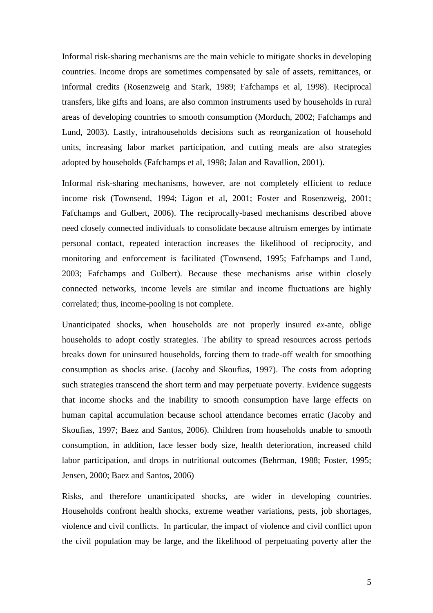Informal risk-sharing mechanisms are the main vehicle to mitigate shocks in developing countries. Income drops are sometimes compensated by sale of assets, remittances, or informal credits (Rosenzweig and Stark, 1989; Fafchamps et al, 1998). Reciprocal transfers, like gifts and loans, are also common instruments used by households in rural areas of developing countries to smooth consumption (Morduch, 2002; Fafchamps and Lund, 2003). Lastly, intrahouseholds decisions such as reorganization of household units, increasing labor market participation, and cutting meals are also strategies adopted by households (Fafchamps et al, 1998; Jalan and Ravallion, 2001).

Informal risk-sharing mechanisms, however, are not completely efficient to reduce income risk (Townsend, 1994; Ligon et al, 2001; Foster and Rosenzweig, 2001; Fafchamps and Gulbert, 2006). The reciprocally-based mechanisms described above need closely connected individuals to consolidate because altruism emerges by intimate personal contact, repeated interaction increases the likelihood of reciprocity, and monitoring and enforcement is facilitated (Townsend, 1995; Fafchamps and Lund, 2003; Fafchamps and Gulbert). Because these mechanisms arise within closely connected networks, income levels are similar and income fluctuations are highly correlated; thus, income-pooling is not complete.

Unanticipated shocks, when households are not properly insured *ex-*ante, oblige households to adopt costly strategies. The ability to spread resources across periods breaks down for uninsured households, forcing them to trade-off wealth for smoothing consumption as shocks arise. (Jacoby and Skoufias, 1997). The costs from adopting such strategies transcend the short term and may perpetuate poverty. Evidence suggests that income shocks and the inability to smooth consumption have large effects on human capital accumulation because school attendance becomes erratic (Jacoby and Skoufias, 1997; Baez and Santos, 2006). Children from households unable to smooth consumption, in addition, face lesser body size, health deterioration, increased child labor participation, and drops in nutritional outcomes (Behrman, 1988; Foster, 1995; Jensen, 2000; Baez and Santos, 2006)

Risks, and therefore unanticipated shocks, are wider in developing countries. Households confront health shocks, extreme weather variations, pests, job shortages, violence and civil conflicts. In particular, the impact of violence and civil conflict upon the civil population may be large, and the likelihood of perpetuating poverty after the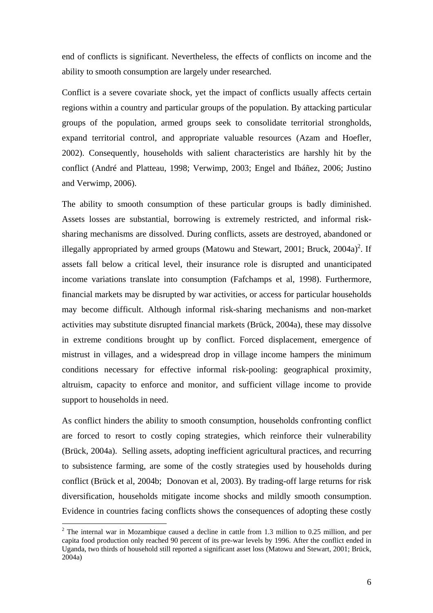end of conflicts is significant. Nevertheless, the effects of conflicts on income and the ability to smooth consumption are largely under researched.

Conflict is a severe covariate shock, yet the impact of conflicts usually affects certain regions within a country and particular groups of the population. By attacking particular groups of the population, armed groups seek to consolidate territorial strongholds, expand territorial control, and appropriate valuable resources (Azam and Hoefler, 2002). Consequently, households with salient characteristics are harshly hit by the conflict (André and Platteau, 1998; Verwimp, 2003; Engel and Ibáñez, 2006; Justino and Verwimp, 2006).

The ability to smooth consumption of these particular groups is badly diminished. Assets losses are substantial, borrowing is extremely restricted, and informal risksharing mechanisms are dissolved. During conflicts, assets are destroyed, abandoned or illegally appropriated by armed groups (Matowu and Stewart, 2001; Bruck,  $2004a)^2$ . If assets fall below a critical level, their insurance role is disrupted and unanticipated income variations translate into consumption (Fafchamps et al, 1998). Furthermore, financial markets may be disrupted by war activities, or access for particular households may become difficult. Although informal risk-sharing mechanisms and non-market activities may substitute disrupted financial markets (Brück, 2004a), these may dissolve in extreme conditions brought up by conflict. Forced displacement, emergence of mistrust in villages, and a widespread drop in village income hampers the minimum conditions necessary for effective informal risk-pooling: geographical proximity, altruism, capacity to enforce and monitor, and sufficient village income to provide support to households in need.

As conflict hinders the ability to smooth consumption, households confronting conflict are forced to resort to costly coping strategies, which reinforce their vulnerability (Brück, 2004a). Selling assets, adopting inefficient agricultural practices, and recurring to subsistence farming, are some of the costly strategies used by households during conflict (Brück et al, 2004b; Donovan et al, 2003). By trading-off large returns for risk diversification, households mitigate income shocks and mildly smooth consumption. Evidence in countries facing conflicts shows the consequences of adopting these costly

 $\overline{a}$ 

<sup>&</sup>lt;sup>2</sup> The internal war in Mozambique caused a decline in cattle from 1.3 million to 0.25 million, and per capita food production only reached 90 percent of its pre-war levels by 1996. After the conflict ended in Uganda, two thirds of household still reported a significant asset loss (Matowu and Stewart, 2001; Brück, 2004a)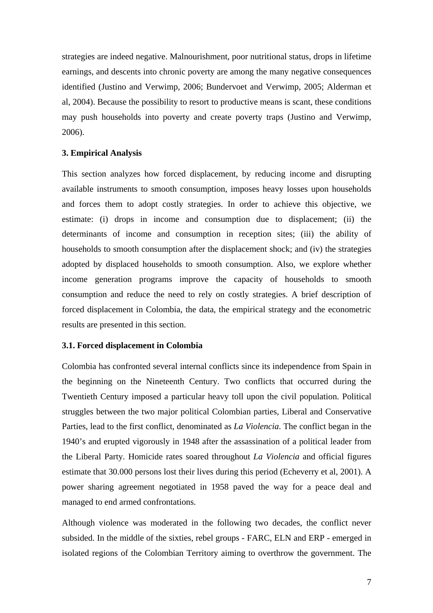strategies are indeed negative. Malnourishment, poor nutritional status, drops in lifetime earnings, and descents into chronic poverty are among the many negative consequences identified (Justino and Verwimp, 2006; Bundervoet and Verwimp, 2005; Alderman et al, 2004). Because the possibility to resort to productive means is scant, these conditions may push households into poverty and create poverty traps (Justino and Verwimp, 2006).

#### **3. Empirical Analysis**

This section analyzes how forced displacement, by reducing income and disrupting available instruments to smooth consumption, imposes heavy losses upon households and forces them to adopt costly strategies. In order to achieve this objective, we estimate: (i) drops in income and consumption due to displacement; (ii) the determinants of income and consumption in reception sites; (iii) the ability of households to smooth consumption after the displacement shock; and (iv) the strategies adopted by displaced households to smooth consumption. Also, we explore whether income generation programs improve the capacity of households to smooth consumption and reduce the need to rely on costly strategies. A brief description of forced displacement in Colombia, the data, the empirical strategy and the econometric results are presented in this section.

#### **3.1. Forced displacement in Colombia**

Colombia has confronted several internal conflicts since its independence from Spain in the beginning on the Nineteenth Century. Two conflicts that occurred during the Twentieth Century imposed a particular heavy toll upon the civil population. Political struggles between the two major political Colombian parties, Liberal and Conservative Parties, lead to the first conflict, denominated as *La Violencia*. The conflict began in the 1940's and erupted vigorously in 1948 after the assassination of a political leader from the Liberal Party. Homicide rates soared throughout *La Violencia* and official figures estimate that 30.000 persons lost their lives during this period (Echeverry et al, 2001). A power sharing agreement negotiated in 1958 paved the way for a peace deal and managed to end armed confrontations.

Although violence was moderated in the following two decades, the conflict never subsided. In the middle of the sixties, rebel groups - FARC, ELN and ERP - emerged in isolated regions of the Colombian Territory aiming to overthrow the government. The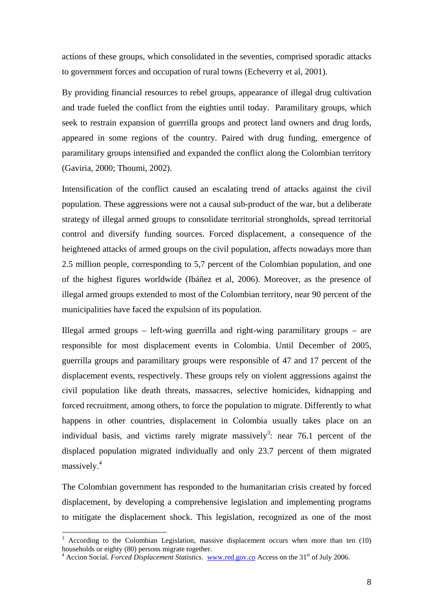actions of these groups, which consolidated in the seventies, comprised sporadic attacks to government forces and occupation of rural towns (Echeverry et al, 2001).

By providing financial resources to rebel groups, appearance of illegal drug cultivation and trade fueled the conflict from the eighties until today. Paramilitary groups, which seek to restrain expansion of guerrilla groups and protect land owners and drug lords, appeared in some regions of the country. Paired with drug funding, emergence of paramilitary groups intensified and expanded the conflict along the Colombian territory (Gaviria, 2000; Thoumi, 2002).

Intensification of the conflict caused an escalating trend of attacks against the civil population. These aggressions were not a causal sub-product of the war, but a deliberate strategy of illegal armed groups to consolidate territorial strongholds, spread territorial control and diversify funding sources. Forced displacement, a consequence of the heightened attacks of armed groups on the civil population, affects nowadays more than 2.5 million people, corresponding to 5,7 percent of the Colombian population, and one of the highest figures worldwide (Ibáñez et al, 2006). Moreover, as the presence of illegal armed groups extended to most of the Colombian territory, near 90 percent of the municipalities have faced the expulsion of its population.

Illegal armed groups – left-wing guerrilla and right-wing paramilitary groups – are responsible for most displacement events in Colombia. Until December of 2005, guerrilla groups and paramilitary groups were responsible of 47 and 17 percent of the displacement events, respectively. These groups rely on violent aggressions against the civil population like death threats, massacres, selective homicides, kidnapping and forced recruitment, among others, to force the population to migrate. Differently to what happens in other countries, displacement in Colombia usually takes place on an individual basis, and victims rarely migrate massively<sup>3</sup>: near 76.1 percent of the displaced population migrated individually and only 23.7 percent of them migrated massively.<sup>4</sup>

The Colombian government has responded to the humanitarian crisis created by forced displacement, by developing a comprehensive legislation and implementing programs to mitigate the displacement shock. This legislation, recognized as one of the most

 $\overline{a}$ 

<sup>3</sup> According to the Colombian Legislation, massive displacement occurs when more than ten (10) households or eighty (80) persons migrate together.

<sup>&</sup>lt;sup>4</sup> Accion Social. *Forced Displacement Statistics*. www.red.gov.co Access on the 31<sup>st</sup> of July 2006.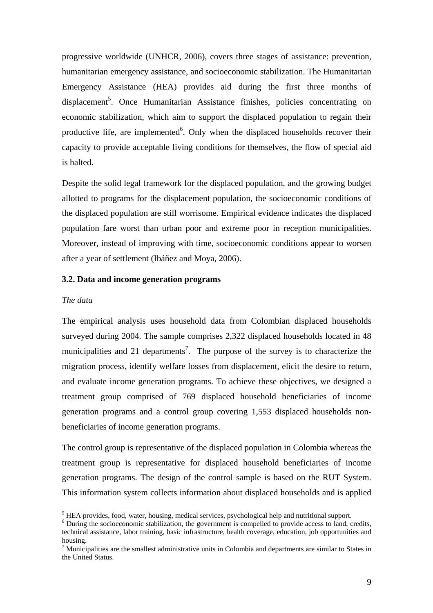progressive worldwide (UNHCR, 2006), covers three stages of assistance: prevention, humanitarian emergency assistance, and socioeconomic stabilization. The Humanitarian Emergency Assistance (HEA) provides aid during the first three months of displacement<sup>5</sup>. Once Humanitarian Assistance finishes, policies concentrating on economic stabilization, which aim to support the displaced population to regain their productive life, are implemented $6$ . Only when the displaced households recover their capacity to provide acceptable living conditions for themselves, the flow of special aid is halted.

Despite the solid legal framework for the displaced population, and the growing budget allotted to programs for the displacement population, the socioeconomic conditions of the displaced population are still worrisome. Empirical evidence indicates the displaced population fare worst than urban poor and extreme poor in reception municipalities. Moreover, instead of improving with time, socioeconomic conditions appear to worsen after a year of settlement (Ibáñez and Moya, 2006).

#### **3.2. Data and income generation programs**

#### *The data*

 $\overline{a}$ 

The empirical analysis uses household data from Colombian displaced households surveyed during 2004. The sample comprises 2,322 displaced households located in 48 municipalities and 21 departments<sup>7</sup>. The purpose of the survey is to characterize the migration process, identify welfare losses from displacement, elicit the desire to return, and evaluate income generation programs. To achieve these objectives, we designed a treatment group comprised of 769 displaced household beneficiaries of income generation programs and a control group covering 1,553 displaced households nonbeneficiaries of income generation programs.

The control group is representative of the displaced population in Colombia whereas the treatment group is representative for displaced household beneficiaries of income generation programs. The design of the control sample is based on the RUT System. This information system collects information about displaced households and is applied

<sup>&</sup>lt;sup>5</sup> HEA provides, food, water, housing, medical services, psychological help and nutritional support.

<sup>&</sup>lt;sup>6</sup> During the socioeconomic stabilization, the government is compelled to provide access to land, credits, technical assistance, labor training, basic infrastructure, health coverage, education, job opportunities and housing.

 $<sup>7</sup>$  Municipalities are the smallest administrative units in Colombia and departments are similar to States in</sup> the United Status.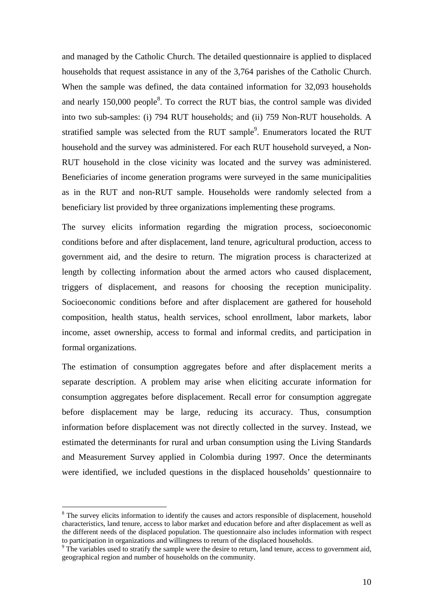and managed by the Catholic Church. The detailed questionnaire is applied to displaced households that request assistance in any of the 3,764 parishes of the Catholic Church. When the sample was defined, the data contained information for 32,093 households and nearly  $150,000$  people<sup>8</sup>. To correct the RUT bias, the control sample was divided into two sub-samples: (i) 794 RUT households; and (ii) 759 Non-RUT households. A stratified sample was selected from the RUT sample $\degree$ . Enumerators located the RUT household and the survey was administered. For each RUT household surveyed, a Non-RUT household in the close vicinity was located and the survey was administered. Beneficiaries of income generation programs were surveyed in the same municipalities as in the RUT and non-RUT sample. Households were randomly selected from a beneficiary list provided by three organizations implementing these programs.

The survey elicits information regarding the migration process, socioeconomic conditions before and after displacement, land tenure, agricultural production, access to government aid, and the desire to return. The migration process is characterized at length by collecting information about the armed actors who caused displacement, triggers of displacement, and reasons for choosing the reception municipality. Socioeconomic conditions before and after displacement are gathered for household composition, health status, health services, school enrollment, labor markets, labor income, asset ownership, access to formal and informal credits, and participation in formal organizations.

The estimation of consumption aggregates before and after displacement merits a separate description. A problem may arise when eliciting accurate information for consumption aggregates before displacement. Recall error for consumption aggregate before displacement may be large, reducing its accuracy. Thus, consumption information before displacement was not directly collected in the survey. Instead, we estimated the determinants for rural and urban consumption using the Living Standards and Measurement Survey applied in Colombia during 1997. Once the determinants were identified, we included questions in the displaced households' questionnaire to

 $\overline{a}$ 

<sup>&</sup>lt;sup>8</sup> The survey elicits information to identify the causes and actors responsible of displacement, household characteristics, land tenure, access to labor market and education before and after displacement as well as the different needs of the displaced population. The questionnaire also includes information with respect to participation in organizations and willingness to return of the displaced households. 9

 $\degree$  The variables used to stratify the sample were the desire to return, land tenure, access to government aid, geographical region and number of households on the community.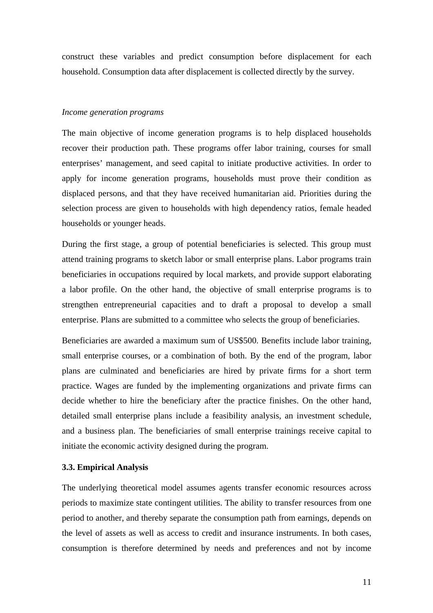construct these variables and predict consumption before displacement for each household. Consumption data after displacement is collected directly by the survey.

#### *Income generation programs*

The main objective of income generation programs is to help displaced households recover their production path. These programs offer labor training, courses for small enterprises' management, and seed capital to initiate productive activities. In order to apply for income generation programs, households must prove their condition as displaced persons, and that they have received humanitarian aid. Priorities during the selection process are given to households with high dependency ratios, female headed households or younger heads.

During the first stage, a group of potential beneficiaries is selected. This group must attend training programs to sketch labor or small enterprise plans. Labor programs train beneficiaries in occupations required by local markets, and provide support elaborating a labor profile. On the other hand, the objective of small enterprise programs is to strengthen entrepreneurial capacities and to draft a proposal to develop a small enterprise. Plans are submitted to a committee who selects the group of beneficiaries.

Beneficiaries are awarded a maximum sum of US\$500. Benefits include labor training, small enterprise courses, or a combination of both. By the end of the program, labor plans are culminated and beneficiaries are hired by private firms for a short term practice. Wages are funded by the implementing organizations and private firms can decide whether to hire the beneficiary after the practice finishes. On the other hand, detailed small enterprise plans include a feasibility analysis, an investment schedule, and a business plan. The beneficiaries of small enterprise trainings receive capital to initiate the economic activity designed during the program.

#### **3.3. Empirical Analysis**

The underlying theoretical model assumes agents transfer economic resources across periods to maximize state contingent utilities. The ability to transfer resources from one period to another, and thereby separate the consumption path from earnings, depends on the level of assets as well as access to credit and insurance instruments. In both cases, consumption is therefore determined by needs and preferences and not by income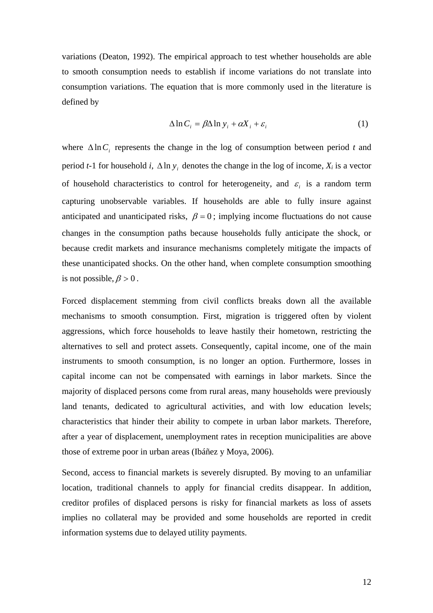variations (Deaton, 1992). The empirical approach to test whether households are able to smooth consumption needs to establish if income variations do not translate into consumption variations. The equation that is more commonly used in the literature is defined by

$$
\Delta \ln C_i = \beta \Delta \ln y_i + \alpha X_i + \varepsilon_i \tag{1}
$$

where  $\Delta \ln C_i$  represents the change in the log of consumption between period *t* and period *t*-1 for household *i*,  $\Delta \ln y_i$  denotes the change in the log of income,  $X_i$  is a vector of household characteristics to control for heterogeneity, and  $\varepsilon_i$  is a random term capturing unobservable variables. If households are able to fully insure against anticipated and unanticipated risks,  $\beta = 0$ ; implying income fluctuations do not cause changes in the consumption paths because households fully anticipate the shock, or because credit markets and insurance mechanisms completely mitigate the impacts of these unanticipated shocks. On the other hand, when complete consumption smoothing is not possible,  $\beta > 0$ .

Forced displacement stemming from civil conflicts breaks down all the available mechanisms to smooth consumption. First, migration is triggered often by violent aggressions, which force households to leave hastily their hometown, restricting the alternatives to sell and protect assets. Consequently, capital income, one of the main instruments to smooth consumption, is no longer an option. Furthermore, losses in capital income can not be compensated with earnings in labor markets. Since the majority of displaced persons come from rural areas, many households were previously land tenants, dedicated to agricultural activities, and with low education levels; characteristics that hinder their ability to compete in urban labor markets. Therefore, after a year of displacement, unemployment rates in reception municipalities are above those of extreme poor in urban areas (Ibáñez y Moya, 2006).

Second, access to financial markets is severely disrupted. By moving to an unfamiliar location, traditional channels to apply for financial credits disappear. In addition, creditor profiles of displaced persons is risky for financial markets as loss of assets implies no collateral may be provided and some households are reported in credit information systems due to delayed utility payments.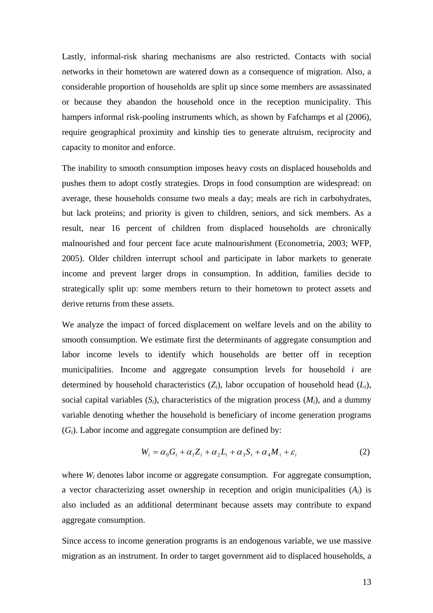Lastly, informal-risk sharing mechanisms are also restricted. Contacts with social networks in their hometown are watered down as a consequence of migration. Also, a considerable proportion of households are split up since some members are assassinated or because they abandon the household once in the reception municipality. This hampers informal risk-pooling instruments which, as shown by Fafchamps et al (2006), require geographical proximity and kinship ties to generate altruism, reciprocity and capacity to monitor and enforce.

The inability to smooth consumption imposes heavy costs on displaced households and pushes them to adopt costly strategies. Drops in food consumption are widespread: on average, these households consume two meals a day; meals are rich in carbohydrates, but lack proteins; and priority is given to children, seniors, and sick members. As a result, near 16 percent of children from displaced households are chronically malnourished and four percent face acute malnourishment (Econometria, 2003; WFP, 2005). Older children interrupt school and participate in labor markets to generate income and prevent larger drops in consumption. In addition, families decide to strategically split up: some members return to their hometown to protect assets and derive returns from these assets.

We analyze the impact of forced displacement on welfare levels and on the ability to smooth consumption. We estimate first the determinants of aggregate consumption and labor income levels to identify which households are better off in reception municipalities. Income and aggregate consumption levels for household *i* are determined by household characteristics (*Zi*), labor occupation of household head (*Li*), social capital variables  $(S_i)$ , characteristics of the migration process  $(M_i)$ , and a dummy variable denoting whether the household is beneficiary of income generation programs (*Gi*). Labor income and aggregate consumption are defined by:

$$
W_i = \alpha_0 G_i + \alpha_1 Z_i + \alpha_2 L_i + \alpha_3 S_i + \alpha_4 M_i + \varepsilon_i
$$
 (2)

where *W<sub>i</sub>* denotes labor income or aggregate consumption. For aggregate consumption, a vector characterizing asset ownership in reception and origin municipalities (*Ai*) is also included as an additional determinant because assets may contribute to expand aggregate consumption.

Since access to income generation programs is an endogenous variable, we use massive migration as an instrument. In order to target government aid to displaced households, a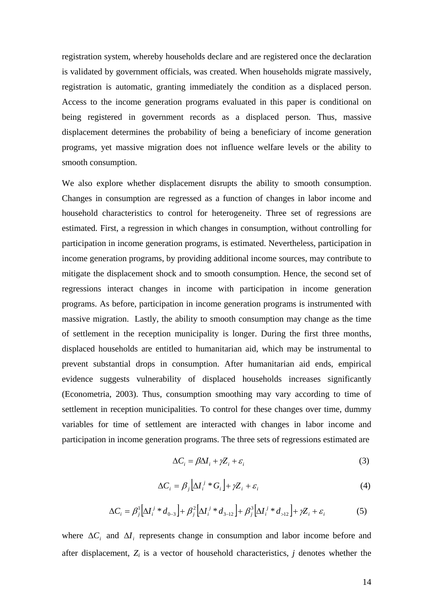registration system, whereby households declare and are registered once the declaration is validated by government officials, was created. When households migrate massively, registration is automatic, granting immediately the condition as a displaced person. Access to the income generation programs evaluated in this paper is conditional on being registered in government records as a displaced person. Thus, massive displacement determines the probability of being a beneficiary of income generation programs, yet massive migration does not influence welfare levels or the ability to smooth consumption.

We also explore whether displacement disrupts the ability to smooth consumption. Changes in consumption are regressed as a function of changes in labor income and household characteristics to control for heterogeneity. Three set of regressions are estimated. First, a regression in which changes in consumption, without controlling for participation in income generation programs, is estimated. Nevertheless, participation in income generation programs, by providing additional income sources, may contribute to mitigate the displacement shock and to smooth consumption. Hence, the second set of regressions interact changes in income with participation in income generation programs. As before, participation in income generation programs is instrumented with massive migration. Lastly, the ability to smooth consumption may change as the time of settlement in the reception municipality is longer. During the first three months, displaced households are entitled to humanitarian aid, which may be instrumental to prevent substantial drops in consumption. After humanitarian aid ends, empirical evidence suggests vulnerability of displaced households increases significantly (Econometria, 2003). Thus, consumption smoothing may vary according to time of settlement in reception municipalities. To control for these changes over time, dummy variables for time of settlement are interacted with changes in labor income and participation in income generation programs. The three sets of regressions estimated are

$$
\Delta C_i = \beta \Delta I_i + \gamma Z_i + \varepsilon_i \tag{3}
$$

$$
\Delta C_i = \beta_j \left[ \Delta I_i^j * G_i \right] + \gamma Z_i + \varepsilon_i \tag{4}
$$

$$
\Delta C_i = \beta_j^1 \Big[ \Delta I_i^j * d_{0-3} \Big] + \beta_j^2 \Big[ \Delta I_i^j * d_{3-12} \Big] + \beta_j^3 \Big[ \Delta I_i^j * d_{>12} \Big] + \gamma Z_i + \varepsilon_i \tag{5}
$$

where  $\Delta C_i$  and  $\Delta I_i$  represents change in consumption and labor income before and after displacement, *Zi* is a vector of household characteristics, *j* denotes whether the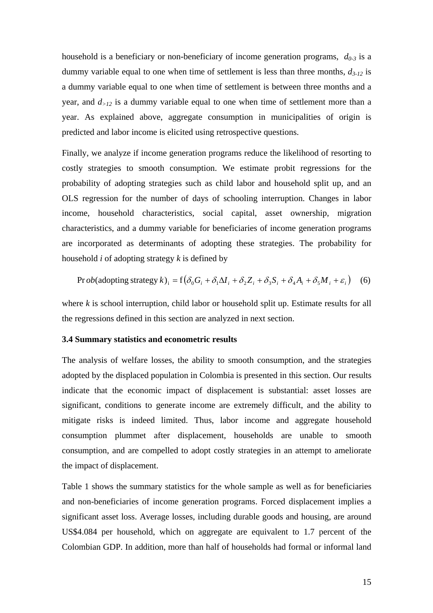household is a beneficiary or non-beneficiary of income generation programs, *d0-3* is a dummy variable equal to one when time of settlement is less than three months, *d3-12* is a dummy variable equal to one when time of settlement is between three months and a year, and *d>12* is a dummy variable equal to one when time of settlement more than a year. As explained above, aggregate consumption in municipalities of origin is predicted and labor income is elicited using retrospective questions.

Finally, we analyze if income generation programs reduce the likelihood of resorting to costly strategies to smooth consumption. We estimate probit regressions for the probability of adopting strategies such as child labor and household split up, and an OLS regression for the number of days of schooling interruption. Changes in labor income, household characteristics, social capital, asset ownership, migration characteristics, and a dummy variable for beneficiaries of income generation programs are incorporated as determinants of adopting these strategies. The probability for household *i* of adopting strategy *k* is defined by

$$
\text{Pr}\,ob(\text{adopting strategy }k)_i = f\big(\delta_0 G_i + \delta_1 \Delta I_i + \delta_2 Z_i + \delta_3 S_i + \delta_4 A_i + \delta_5 M_i + \varepsilon_i\big) \tag{6}
$$

where *k* is school interruption, child labor or household split up. Estimate results for all the regressions defined in this section are analyzed in next section.

#### **3.4 Summary statistics and econometric results**

The analysis of welfare losses, the ability to smooth consumption, and the strategies adopted by the displaced population in Colombia is presented in this section. Our results indicate that the economic impact of displacement is substantial: asset losses are significant, conditions to generate income are extremely difficult, and the ability to mitigate risks is indeed limited. Thus, labor income and aggregate household consumption plummet after displacement, households are unable to smooth consumption, and are compelled to adopt costly strategies in an attempt to ameliorate the impact of displacement.

Table 1 shows the summary statistics for the whole sample as well as for beneficiaries and non-beneficiaries of income generation programs. Forced displacement implies a significant asset loss. Average losses, including durable goods and housing, are around US\$4.084 per household, which on aggregate are equivalent to 1.7 percent of the Colombian GDP. In addition, more than half of households had formal or informal land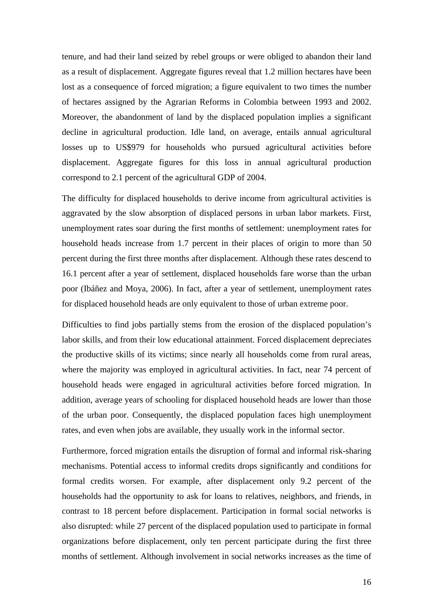tenure, and had their land seized by rebel groups or were obliged to abandon their land as a result of displacement. Aggregate figures reveal that 1.2 million hectares have been lost as a consequence of forced migration; a figure equivalent to two times the number of hectares assigned by the Agrarian Reforms in Colombia between 1993 and 2002. Moreover, the abandonment of land by the displaced population implies a significant decline in agricultural production. Idle land, on average, entails annual agricultural losses up to US\$979 for households who pursued agricultural activities before displacement. Aggregate figures for this loss in annual agricultural production correspond to 2.1 percent of the agricultural GDP of 2004.

The difficulty for displaced households to derive income from agricultural activities is aggravated by the slow absorption of displaced persons in urban labor markets. First, unemployment rates soar during the first months of settlement: unemployment rates for household heads increase from 1.7 percent in their places of origin to more than 50 percent during the first three months after displacement. Although these rates descend to 16.1 percent after a year of settlement, displaced households fare worse than the urban poor (Ibáñez and Moya, 2006). In fact, after a year of settlement, unemployment rates for displaced household heads are only equivalent to those of urban extreme poor.

Difficulties to find jobs partially stems from the erosion of the displaced population's labor skills, and from their low educational attainment. Forced displacement depreciates the productive skills of its victims; since nearly all households come from rural areas, where the majority was employed in agricultural activities. In fact, near 74 percent of household heads were engaged in agricultural activities before forced migration. In addition, average years of schooling for displaced household heads are lower than those of the urban poor. Consequently, the displaced population faces high unemployment rates, and even when jobs are available, they usually work in the informal sector.

Furthermore, forced migration entails the disruption of formal and informal risk-sharing mechanisms. Potential access to informal credits drops significantly and conditions for formal credits worsen. For example, after displacement only 9.2 percent of the households had the opportunity to ask for loans to relatives, neighbors, and friends, in contrast to 18 percent before displacement. Participation in formal social networks is also disrupted: while 27 percent of the displaced population used to participate in formal organizations before displacement, only ten percent participate during the first three months of settlement. Although involvement in social networks increases as the time of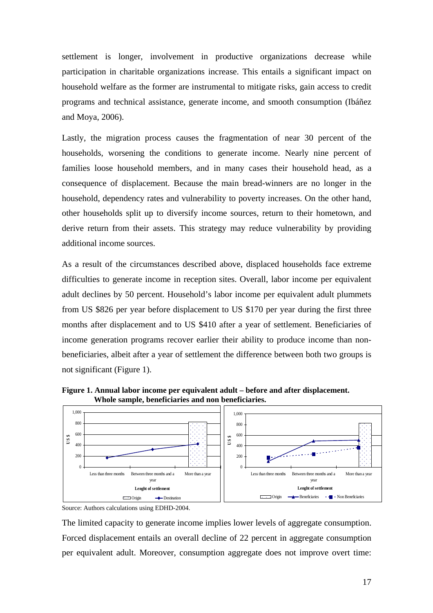settlement is longer, involvement in productive organizations decrease while participation in charitable organizations increase. This entails a significant impact on household welfare as the former are instrumental to mitigate risks, gain access to credit programs and technical assistance, generate income, and smooth consumption (Ibáñez and Moya, 2006).

Lastly, the migration process causes the fragmentation of near 30 percent of the households, worsening the conditions to generate income. Nearly nine percent of families loose household members, and in many cases their household head, as a consequence of displacement. Because the main bread-winners are no longer in the household, dependency rates and vulnerability to poverty increases. On the other hand, other households split up to diversify income sources, return to their hometown, and derive return from their assets. This strategy may reduce vulnerability by providing additional income sources.

As a result of the circumstances described above, displaced households face extreme difficulties to generate income in reception sites. Overall, labor income per equivalent adult declines by 50 percent. Household's labor income per equivalent adult plummets from US \$826 per year before displacement to US \$170 per year during the first three months after displacement and to US \$410 after a year of settlement. Beneficiaries of income generation programs recover earlier their ability to produce income than nonbeneficiaries, albeit after a year of settlement the difference between both two groups is not significant (Figure 1).



**Figure 1. Annual labor income per equivalent adult – before and after displacement. Whole sample, beneficiaries and non beneficiaries.** 

The limited capacity to generate income implies lower levels of aggregate consumption. Forced displacement entails an overall decline of 22 percent in aggregate consumption per equivalent adult. Moreover, consumption aggregate does not improve overt time:

Source: Authors calculations using EDHD-2004.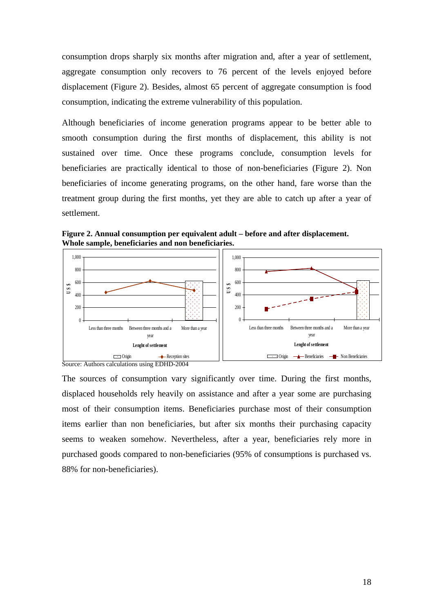consumption drops sharply six months after migration and, after a year of settlement, aggregate consumption only recovers to 76 percent of the levels enjoyed before displacement (Figure 2). Besides, almost 65 percent of aggregate consumption is food consumption, indicating the extreme vulnerability of this population.

Although beneficiaries of income generation programs appear to be better able to smooth consumption during the first months of displacement, this ability is not sustained over time. Once these programs conclude, consumption levels for beneficiaries are practically identical to those of non-beneficiaries (Figure 2). Non beneficiaries of income generating programs, on the other hand, fare worse than the treatment group during the first months, yet they are able to catch up after a year of settlement.

**Figure 2. Annual consumption per equivalent adult – before and after displacement. Whole sample, beneficiaries and non beneficiaries.**



Source: Authors calculations using EDHD-2004

The sources of consumption vary significantly over time. During the first months, displaced households rely heavily on assistance and after a year some are purchasing most of their consumption items. Beneficiaries purchase most of their consumption items earlier than non beneficiaries, but after six months their purchasing capacity seems to weaken somehow. Nevertheless, after a year, beneficiaries rely more in purchased goods compared to non-beneficiaries (95% of consumptions is purchased vs. 88% for non-beneficiaries).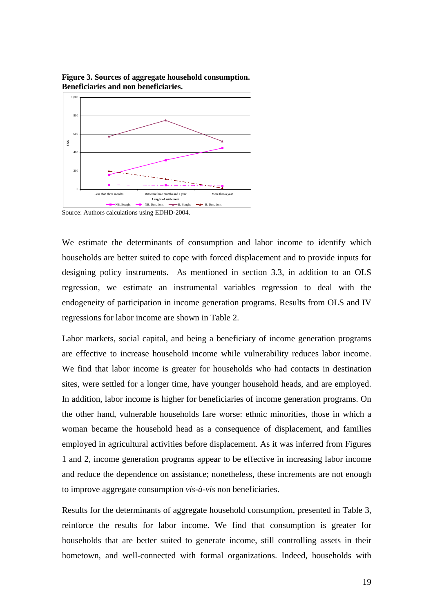

**Figure 3. Sources of aggregate household consumption. Beneficiaries and non beneficiaries.**

Source: Authors calculations using EDHD-2004.

We estimate the determinants of consumption and labor income to identify which households are better suited to cope with forced displacement and to provide inputs for designing policy instruments. As mentioned in section 3.3, in addition to an OLS regression, we estimate an instrumental variables regression to deal with the endogeneity of participation in income generation programs. Results from OLS and IV regressions for labor income are shown in Table 2.

Labor markets, social capital, and being a beneficiary of income generation programs are effective to increase household income while vulnerability reduces labor income. We find that labor income is greater for households who had contacts in destination sites, were settled for a longer time, have younger household heads, and are employed. In addition, labor income is higher for beneficiaries of income generation programs. On the other hand, vulnerable households fare worse: ethnic minorities, those in which a woman became the household head as a consequence of displacement, and families employed in agricultural activities before displacement. As it was inferred from Figures 1 and 2, income generation programs appear to be effective in increasing labor income and reduce the dependence on assistance; nonetheless, these increments are not enough to improve aggregate consumption *vis-à-vis* non beneficiaries.

Results for the determinants of aggregate household consumption, presented in Table 3, reinforce the results for labor income. We find that consumption is greater for households that are better suited to generate income, still controlling assets in their hometown, and well-connected with formal organizations. Indeed, households with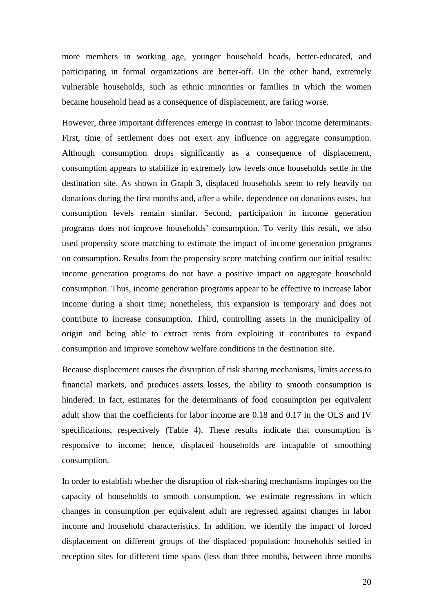more members in working age, younger household heads, better-educated, and participating in formal organizations are better-off. On the other hand, extremely vulnerable households, such as ethnic minorities or families in which the women became household head as a consequence of displacement, are faring worse.

However, three important differences emerge in contrast to labor income determinants. First, time of settlement does not exert any influence on aggregate consumption. Although consumption drops significantly as a consequence of displacement, consumption appears to stabilize in extremely low levels once households settle in the destination site. As shown in Graph 3, displaced households seem to rely heavily on donations during the first months and, after a while, dependence on donations eases, but consumption levels remain similar. Second, participation in income generation programs does not improve households' consumption. To verify this result, we also used propensity score matching to estimate the impact of income generation programs on consumption. Results from the propensity score matching confirm our initial results: income generation programs do not have a positive impact on aggregate household consumption. Thus, income generation programs appear to be effective to increase labor income during a short time; nonetheless, this expansion is temporary and does not contribute to increase consumption. Third, controlling assets in the municipality of origin and being able to extract rents from exploiting it contributes to expand consumption and improve somehow welfare conditions in the destination site.

Because displacement causes the disruption of risk sharing mechanisms, limits access to financial markets, and produces assets losses, the ability to smooth consumption is hindered. In fact, estimates for the determinants of food consumption per equivalent adult show that the coefficients for labor income are 0.18 and 0.17 in the OLS and IV specifications, respectively (Table 4). These results indicate that consumption is responsive to income; hence, displaced households are incapable of smoothing consumption.

In order to establish whether the disruption of risk-sharing mechanisms impinges on the capacity of households to smooth consumption, we estimate regressions in which changes in consumption per equivalent adult are regressed against changes in labor income and household characteristics. In addition, we identify the impact of forced displacement on different groups of the displaced population: households settled in reception sites for different time spans (less than three months, between three months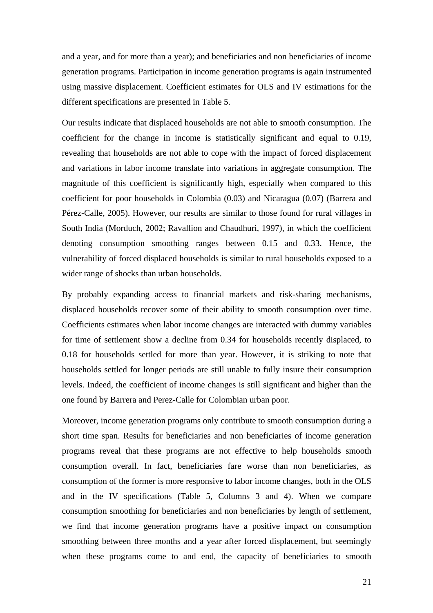and a year, and for more than a year); and beneficiaries and non beneficiaries of income generation programs. Participation in income generation programs is again instrumented using massive displacement. Coefficient estimates for OLS and IV estimations for the different specifications are presented in Table 5.

Our results indicate that displaced households are not able to smooth consumption. The coefficient for the change in income is statistically significant and equal to 0.19, revealing that households are not able to cope with the impact of forced displacement and variations in labor income translate into variations in aggregate consumption. The magnitude of this coefficient is significantly high, especially when compared to this coefficient for poor households in Colombia (0.03) and Nicaragua (0.07) (Barrera and Pérez-Calle, 2005). However, our results are similar to those found for rural villages in South India (Morduch, 2002; Ravallion and Chaudhuri, 1997), in which the coefficient denoting consumption smoothing ranges between 0.15 and 0.33. Hence, the vulnerability of forced displaced households is similar to rural households exposed to a wider range of shocks than urban households.

By probably expanding access to financial markets and risk-sharing mechanisms, displaced households recover some of their ability to smooth consumption over time. Coefficients estimates when labor income changes are interacted with dummy variables for time of settlement show a decline from 0.34 for households recently displaced, to 0.18 for households settled for more than year. However, it is striking to note that households settled for longer periods are still unable to fully insure their consumption levels. Indeed, the coefficient of income changes is still significant and higher than the one found by Barrera and Perez-Calle for Colombian urban poor.

Moreover, income generation programs only contribute to smooth consumption during a short time span. Results for beneficiaries and non beneficiaries of income generation programs reveal that these programs are not effective to help households smooth consumption overall. In fact, beneficiaries fare worse than non beneficiaries, as consumption of the former is more responsive to labor income changes, both in the OLS and in the IV specifications (Table 5, Columns 3 and 4). When we compare consumption smoothing for beneficiaries and non beneficiaries by length of settlement, we find that income generation programs have a positive impact on consumption smoothing between three months and a year after forced displacement, but seemingly when these programs come to and end, the capacity of beneficiaries to smooth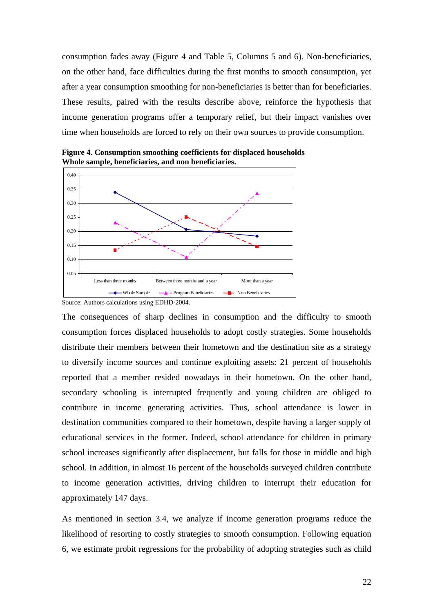consumption fades away (Figure 4 and Table 5, Columns 5 and 6). Non-beneficiaries, on the other hand, face difficulties during the first months to smooth consumption, yet after a year consumption smoothing for non-beneficiaries is better than for beneficiaries. These results, paired with the results describe above, reinforce the hypothesis that income generation programs offer a temporary relief, but their impact vanishes over time when households are forced to rely on their own sources to provide consumption.



**Figure 4. Consumption smoothing coefficients for displaced households Whole sample, beneficiaries, and non beneficiaries.** 

The consequences of sharp declines in consumption and the difficulty to smooth consumption forces displaced households to adopt costly strategies. Some households distribute their members between their hometown and the destination site as a strategy to diversify income sources and continue exploiting assets: 21 percent of households reported that a member resided nowadays in their hometown. On the other hand, secondary schooling is interrupted frequently and young children are obliged to contribute in income generating activities. Thus, school attendance is lower in destination communities compared to their hometown, despite having a larger supply of educational services in the former. Indeed, school attendance for children in primary school increases significantly after displacement, but falls for those in middle and high school. In addition, in almost 16 percent of the households surveyed children contribute to income generation activities, driving children to interrupt their education for approximately 147 days.

As mentioned in section 3.4, we analyze if income generation programs reduce the likelihood of resorting to costly strategies to smooth consumption. Following equation 6, we estimate probit regressions for the probability of adopting strategies such as child

Source: Authors calculations using EDHD-2004.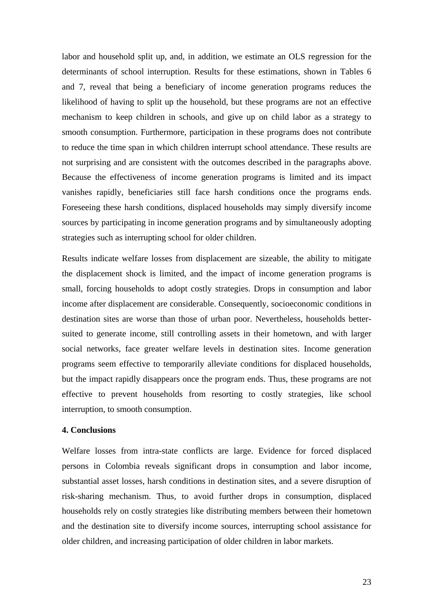labor and household split up, and, in addition, we estimate an OLS regression for the determinants of school interruption. Results for these estimations, shown in Tables 6 and 7, reveal that being a beneficiary of income generation programs reduces the likelihood of having to split up the household, but these programs are not an effective mechanism to keep children in schools, and give up on child labor as a strategy to smooth consumption. Furthermore, participation in these programs does not contribute to reduce the time span in which children interrupt school attendance. These results are not surprising and are consistent with the outcomes described in the paragraphs above. Because the effectiveness of income generation programs is limited and its impact vanishes rapidly, beneficiaries still face harsh conditions once the programs ends. Foreseeing these harsh conditions, displaced households may simply diversify income sources by participating in income generation programs and by simultaneously adopting strategies such as interrupting school for older children.

Results indicate welfare losses from displacement are sizeable, the ability to mitigate the displacement shock is limited, and the impact of income generation programs is small, forcing households to adopt costly strategies. Drops in consumption and labor income after displacement are considerable. Consequently, socioeconomic conditions in destination sites are worse than those of urban poor. Nevertheless, households bettersuited to generate income, still controlling assets in their hometown, and with larger social networks, face greater welfare levels in destination sites. Income generation programs seem effective to temporarily alleviate conditions for displaced households, but the impact rapidly disappears once the program ends. Thus, these programs are not effective to prevent households from resorting to costly strategies, like school interruption, to smooth consumption.

#### **4. Conclusions**

Welfare losses from intra-state conflicts are large. Evidence for forced displaced persons in Colombia reveals significant drops in consumption and labor income, substantial asset losses, harsh conditions in destination sites, and a severe disruption of risk-sharing mechanism. Thus, to avoid further drops in consumption, displaced households rely on costly strategies like distributing members between their hometown and the destination site to diversify income sources, interrupting school assistance for older children, and increasing participation of older children in labor markets.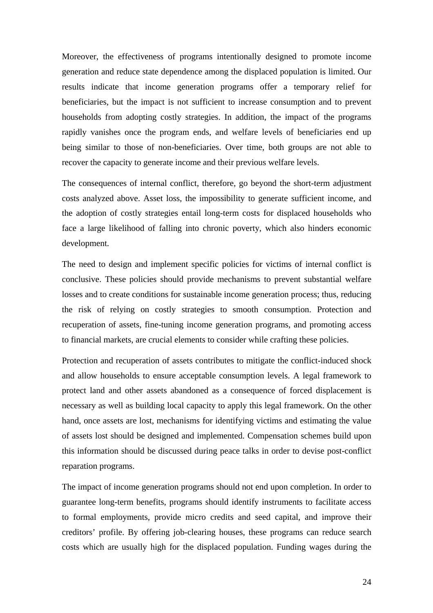Moreover, the effectiveness of programs intentionally designed to promote income generation and reduce state dependence among the displaced population is limited. Our results indicate that income generation programs offer a temporary relief for beneficiaries, but the impact is not sufficient to increase consumption and to prevent households from adopting costly strategies. In addition, the impact of the programs rapidly vanishes once the program ends, and welfare levels of beneficiaries end up being similar to those of non-beneficiaries. Over time, both groups are not able to recover the capacity to generate income and their previous welfare levels.

The consequences of internal conflict, therefore, go beyond the short-term adjustment costs analyzed above. Asset loss, the impossibility to generate sufficient income, and the adoption of costly strategies entail long-term costs for displaced households who face a large likelihood of falling into chronic poverty, which also hinders economic development.

The need to design and implement specific policies for victims of internal conflict is conclusive. These policies should provide mechanisms to prevent substantial welfare losses and to create conditions for sustainable income generation process; thus, reducing the risk of relying on costly strategies to smooth consumption. Protection and recuperation of assets, fine-tuning income generation programs, and promoting access to financial markets, are crucial elements to consider while crafting these policies.

Protection and recuperation of assets contributes to mitigate the conflict-induced shock and allow households to ensure acceptable consumption levels. A legal framework to protect land and other assets abandoned as a consequence of forced displacement is necessary as well as building local capacity to apply this legal framework. On the other hand, once assets are lost, mechanisms for identifying victims and estimating the value of assets lost should be designed and implemented. Compensation schemes build upon this information should be discussed during peace talks in order to devise post-conflict reparation programs.

The impact of income generation programs should not end upon completion. In order to guarantee long-term benefits, programs should identify instruments to facilitate access to formal employments, provide micro credits and seed capital, and improve their creditors' profile. By offering job-clearing houses, these programs can reduce search costs which are usually high for the displaced population. Funding wages during the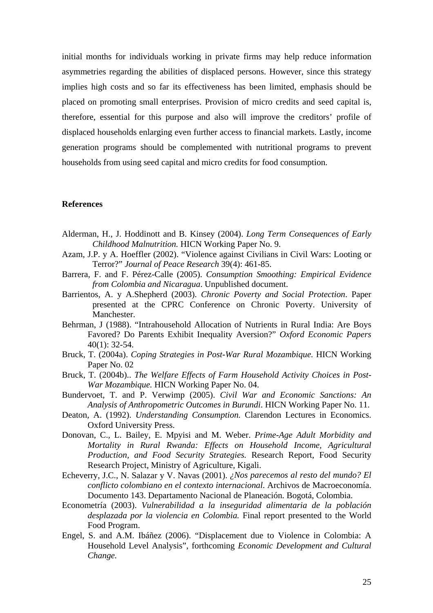initial months for individuals working in private firms may help reduce information asymmetries regarding the abilities of displaced persons. However, since this strategy implies high costs and so far its effectiveness has been limited, emphasis should be placed on promoting small enterprises. Provision of micro credits and seed capital is, therefore, essential for this purpose and also will improve the creditors' profile of displaced households enlarging even further access to financial markets. Lastly, income generation programs should be complemented with nutritional programs to prevent households from using seed capital and micro credits for food consumption.

#### **References**

- Alderman, H., J. Hoddinott and B. Kinsey (2004). *Long Term Consequences of Early Childhood Malnutrition.* HICN Working Paper No. 9.
- Azam, J.P. y A. Hoeffler (2002). "Violence against Civilians in Civil Wars: Looting or Terror?" *Journal of Peace Research* 39(4): 461-85.
- Barrera, F. and F. Pérez-Calle (2005). *Consumption Smoothing: Empirical Evidence from Colombia and Nicaragua*. Unpublished document.
- Barrientos, A. y A.Shepherd (2003). *Chronic Poverty and Social Protection*. Paper presented at the CPRC Conference on Chronic Poverty. University of Manchester.
- Behrman, J (1988). "Intrahousehold Allocation of Nutrients in Rural India: Are Boys Favored? Do Parents Exhibit Inequality Aversion?" *Oxford Economic Papers* 40(1): 32-54.
- Bruck, T. (2004a). *Coping Strategies in Post-War Rural Mozambique.* HICN Working Paper No. 02
- Bruck, T. (2004b).. *The Welfare Effects of Farm Household Activity Choices in Post-War Mozambique.* HICN Working Paper No. 04.
- Bundervoet, T. and P. Verwimp (2005). *Civil War and Economic Sanctions: An Analysis of Anthropometric Outcomes in Burundi*. HICN Working Paper No. 11.
- Deaton, A. (1992). *Understanding Consumption.* Clarendon Lectures in Economics. Oxford University Press.
- Donovan, C., L. Bailey, E. Mpyisi and M. Weber. *Prime-Age Adult Morbidity and Mortality in Rural Rwanda: Effects on Household Income, Agricultural Production, and Food Security Strategies.* Research Report, Food Security Research Project, Ministry of Agriculture, Kigali.
- Echeverry, J.C., N. Salazar y V. Navas (2001). *¿Nos parecemos al resto del mundo? El conflicto colombiano en el contexto internacional*. Archivos de Macroeconomía. Documento 143. Departamento Nacional de Planeación. Bogotá, Colombia.
- Econometría (2003). *Vulnerabilidad a la inseguridad alimentaria de la población desplazada por la violencia en Colombia.* Final report presented to the World Food Program.
- Engel, S. and A.M. Ibáñez (2006). "Displacement due to Violence in Colombia: A Household Level Analysis", forthcoming *Economic Development and Cultural Change.*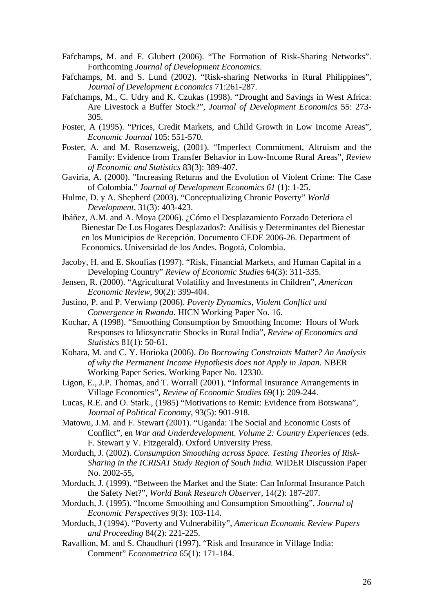- Fafchamps, M. and F. Glubert (2006). "The Formation of Risk-Sharing Networks". Forthcoming *Journal of Development Economics.*
- Fafchamps, M. and S. Lund (2002). "Risk-sharing Networks in Rural Philippines", *Journal of Development Economics* 71:261-287.
- Fafchamps, M., C. Udry and K. Czukas (1998). "Drought and Savings in West Africa: Are Livestock a Buffer Stock?", *Journal of Development Economics* 55: 273- 305.
- Foster, A (1995). "Prices, Credit Markets, and Child Growth in Low Income Areas", *Economic Journal* 105: 551-570.
- Foster, A. and M. Rosenzweig, (2001). "Imperfect Commitment, Altruism and the Family: Evidence from Transfer Behavior in Low-Income Rural Areas", *Review of Economic and Statistics* 83(3): 389-407.
- Gaviria, A. (2000). "Increasing Returns and the Evolution of Violent Crime: The Case of Colombia." *Journal of Development Economics 61* (1): 1-25.
- Hulme, D. y A. Shepherd (2003). "Conceptualizing Chronic Poverty" *World Development*, 31(3): 403-423.
- Ibáñez, A.M. and A. Moya (2006). ¿Cómo el Desplazamiento Forzado Deteriora el Bienestar De Los Hogares Desplazados?: Análisis y Determinantes del Bienestar en los Municipios de Recepción. Documento CEDE 2006-26. Department of Economics. Universidad de los Andes. Bogotá, Colombia.
- Jacoby, H. and E. Skoufias (1997). "Risk, Financial Markets, and Human Capital in a Developing Country" *Review of Economic Studies* 64(3): 311-335.
- Jensen, R. (2000). "Agricultural Volatility and Investments in Children", *American Economic Review*, 90(2): 399-404.
- Justino, P. and P. Verwimp (2006). *Poverty Dynamics, Violent Conflict and Convergence in Rwanda*. HICN Working Paper No. 16.
- Kochar, A (1998). "Smoothing Consumption by Smoothing Income: Hours of Work Responses to Idiosyncratic Shocks in Rural India", *Review of Economics and Statistics* 81(1): 50-61.
- Kohara, M. and C. Y. Horioka (2006). *Do Borrowing Constraints Matter? An Analysis of why the Permanent Income Hypothesis does not Apply in Japan.* NBER Working Paper Series. Working Paper No. 12330.
- Ligon, E., J.P. Thomas, and T. Worrall (2001). "Informal Insurance Arrangements in Village Economies", *Review of Economic Studies* 69(1): 209-244.
- Lucas, R.E. and O. Stark., (1985) "Motivations to Remit: Evidence from Botswana", *Journal of Political Economy*, 93(5): 901-918.
- Matowu, J.M. and F. Stewart (2001). "Uganda: The Social and Economic Costs of Conflict", en *War and Underdevelopment*. *Volume 2: Country Experiences* (eds. F. Stewart y V. Fitzgerald). Oxford University Press.
- Morduch, J. (2002). *Consumption Smoothing across Space. Testing Theories of Risk-Sharing in the ICRISAT Study Region of South India.* WIDER Discussion Paper No. 2002-55,
- Morduch, J. (1999). "Between the Market and the State: Can Informal Insurance Patch the Safety Net?", *World Bank Research Observer,* 14(2): 187-207.
- Morduch, J. (1995). "Income Smoothing and Consumption Smoothing", *Journal of Economic Perspectives* 9(3): 103-114.
- Morduch, J (1994). "Poverty and Vulnerability", *American Economic Review Papers and Proceeding* 84(2): 221-225.
- Ravallion, M. and S. Chaudhuri (1997). "Risk and Insurance in Village India: Comment" *Econometrica* 65(1): 171-184.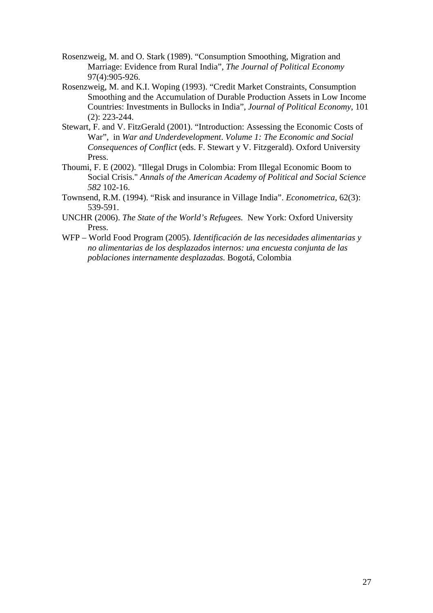- Rosenzweig, M. and O. Stark (1989). "Consumption Smoothing, Migration and Marriage: Evidence from Rural India", *The Journal of Political Economy* 97(4):905-926.
- Rosenzweig, M. and K.I. Woping (1993). "Credit Market Constraints, Consumption Smoothing and the Accumulation of Durable Production Assets in Low Income Countries: Investments in Bullocks in India", *Journal of Political Economy*, 101 (2): 223-244.
- Stewart, F. and V. FitzGerald (2001). "Introduction: Assessing the Economic Costs of War", in *War and Underdevelopment*. *Volume 1: The Economic and Social Consequences of Conflict* (eds. F. Stewart y V. Fitzgerald). Oxford University Press.
- Thoumi, F. E (2002). "Illegal Drugs in Colombia: From Illegal Economic Boom to Social Crisis." *Annals of the American Academy of Political and Social Science 582* 102-16.
- Townsend, R.M. (1994). "Risk and insurance in Village India". *Econometrica*, 62(3): 539-591.
- UNCHR (2006). *The State of the World's Refugees.* New York: Oxford University Press.
- WFP World Food Program (2005). *Identificación de las necesidades alimentarias y no alimentarias de los desplazados internos: una encuesta conjunta de las poblaciones internamente desplazadas.* Bogotá, Colombia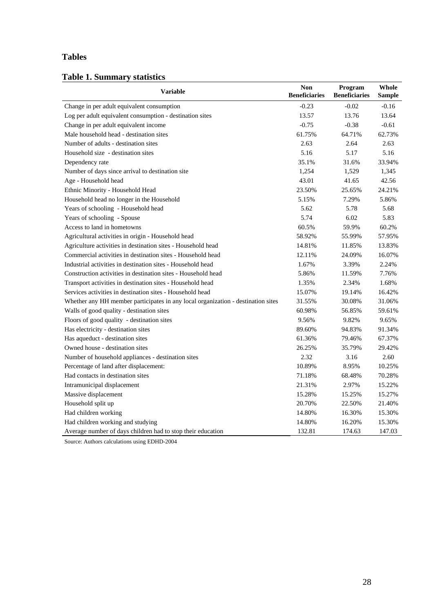## **Tables**

### **Table 1. Summary statistics**

| <b>Variable</b>                                                                  | <b>Non</b><br><b>Beneficiaries</b> | Program<br><b>Beneficiaries</b> | Whole<br><b>Sample</b> |
|----------------------------------------------------------------------------------|------------------------------------|---------------------------------|------------------------|
| Change in per adult equivalent consumption                                       | $-0.23$                            | $-0.02$                         | $-0.16$                |
| Log per adult equivalent consumption - destination sites                         | 13.57                              | 13.76                           | 13.64                  |
| Change in per adult equivalent income                                            | $-0.75$                            | $-0.38$                         | $-0.61$                |
| Male household head - destination sites                                          | 61.75%                             | 64.71%                          | 62.73%                 |
| Number of adults - destination sites                                             | 2.63                               | 2.64                            | 2.63                   |
| Household size - destination sites                                               | 5.16                               | 5.17                            | 5.16                   |
| Dependency rate                                                                  | 35.1%                              | 31.6%                           | 33.94%                 |
| Number of days since arrival to destination site                                 | 1,254                              | 1,529                           | 1,345                  |
| Age - Household head                                                             | 43.01                              | 41.65                           | 42.56                  |
| Ethnic Minority - Household Head                                                 | 23.50%                             | 25.65%                          | 24.21%                 |
| Household head no longer in the Household                                        | 5.15%                              | 7.29%                           | 5.86%                  |
| Years of schooling - Household head                                              | 5.62                               | 5.78                            | 5.68                   |
| Years of schooling - Spouse                                                      | 5.74                               | 6.02                            | 5.83                   |
| Access to land in hometowns                                                      | 60.5%                              | 59.9%                           | 60.2%                  |
| Agricultural activities in origin - Household head                               | 58.92%                             | 55.99%                          | 57.95%                 |
| Agriculture activities in destination sites - Household head                     | 14.81%                             | 11.85%                          | 13.83%                 |
| Commercial activities in destination sites - Household head                      | 12.11%                             | 24.09%                          | 16.07%                 |
| Industrial activities in destination sites - Household head                      | 1.67%                              | 3.39%                           | 2.24%                  |
| Construction activities in destination sites - Household head                    | 5.86%                              | 11.59%                          | 7.76%                  |
| Transport activities in destination sites - Household head                       | 1.35%                              | 2.34%                           | 1.68%                  |
| Services activities in destination sites - Household head                        | 15.07%                             | 19.14%                          | 16.42%                 |
| Whether any HH member participates in any local organization - destination sites | 31.55%                             | 30.08%                          | 31.06%                 |
| Walls of good quality - destination sites                                        | 60.98%                             | 56.85%                          | 59.61%                 |
| Floors of good quality - destination sites                                       | 9.56%                              | 9.82%                           | 9.65%                  |
| Has electricity - destination sites                                              | 89.60%                             | 94.83%                          | 91.34%                 |
| Has aqueduct - destination sites                                                 | 61.36%                             | 79.46%                          | 67.37%                 |
| Owned house - destination sites                                                  | 26.25%                             | 35.79%                          | 29.42%                 |
| Number of household appliances - destination sites                               | 2.32                               | 3.16                            | 2.60                   |
| Percentage of land after displacement:                                           | 10.89%                             | 8.95%                           | 10.25%                 |
| Had contacts in destination sites                                                | 71.18%                             | 68.48%                          | 70.28%                 |
| Intramunicipal displacement                                                      | 21.31%                             | 2.97%                           | 15.22%                 |
| Massive displacement                                                             | 15.28%                             | 15.25%                          | 15.27%                 |
| Household split up                                                               | 20.70%                             | 22.50%                          | 21.40%                 |
| Had children working                                                             | 14.80%                             | 16.30%                          | 15.30%                 |
| Had children working and studying                                                | 14.80%                             | 16.20%                          | 15.30%                 |
| Average number of days children had to stop their education                      | 132.81                             | 174.63                          | 147.03                 |

Source: Authors calculations using EDHD-2004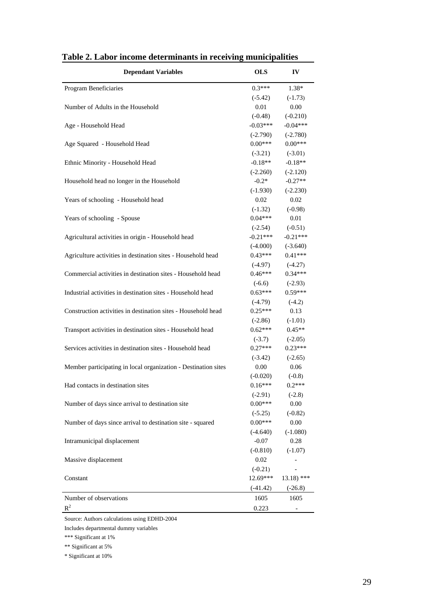| <b>Dependant Variables</b>                                     | <b>OLS</b> | IV            |
|----------------------------------------------------------------|------------|---------------|
| Program Beneficiaries                                          | $0.3***$   | 1.38*         |
|                                                                | $(-5.42)$  | $(-1.73)$     |
| Number of Adults in the Household                              | 0.01       | 0.00          |
|                                                                | $(-0.48)$  | $(-0.210)$    |
| Age - Household Head                                           | $-0.03***$ | $-0.04***$    |
|                                                                | $(-2.790)$ | $(-2.780)$    |
| Age Squared - Household Head                                   | $0.00***$  | $0.00***$     |
|                                                                | $(-3.21)$  | $(-3.01)$     |
| Ethnic Minority - Household Head                               | $-0.18**$  | $-0.18**$     |
|                                                                | $(-2.260)$ | $(-2.120)$    |
| Household head no longer in the Household                      | $-0.2*$    | $-0.27**$     |
|                                                                | $(-1.930)$ | $(-2.230)$    |
| Years of schooling - Household head                            | 0.02       | 0.02          |
|                                                                | $(-1.32)$  | $(-0.98)$     |
| Years of schooling - Spouse                                    | $0.04***$  | 0.01          |
|                                                                | $(-2.54)$  | $(-0.51)$     |
| Agricultural activities in origin - Household head             | $-0.21***$ | $-0.21***$    |
|                                                                | $(-4.000)$ | $(-3.640)$    |
| Agriculture activities in destination sites - Household head   | $0.43***$  | $0.41***$     |
|                                                                | $(-4.97)$  | $(-4.27)$     |
| Commercial activities in destination sites - Household head    | $0.46***$  | $0.34***$     |
|                                                                | $(-6.6)$   | $(-2.93)$     |
| Industrial activities in destination sites - Household head    | $0.63***$  | $0.59***$     |
|                                                                | $(-4.79)$  | $(-4.2)$      |
| Construction activities in destination sites - Household head  | $0.25***$  | 0.13          |
|                                                                | $(-2.86)$  | $(-1.01)$     |
| Transport activities in destination sites - Household head     | $0.62***$  | $0.45**$      |
|                                                                | $(-3.7)$   | $(-2.05)$     |
| Services activities in destination sites - Household head      | $0.27***$  | $0.23***$     |
|                                                                | $(-3.42)$  | $(-2.65)$     |
| Member participating in local organization - Destination sites | 0.00       | 0.06          |
|                                                                | $(-0.020)$ | $(-0.8)$      |
| Had contacts in destination sites                              | $0.16***$  | $0.2***$      |
|                                                                | $(-2.91)$  | $(-2.8)$      |
| Number of days since arrival to destination site               | $0.00***$  | $0.00\,$      |
|                                                                | $(-5.25)$  | $(-0.82)$     |
| Number of days since arrival to destination site - squared     | $0.00***$  | 0.00          |
|                                                                | $(-4.640)$ | $(-1.080)$    |
| Intramunicipal displacement                                    | $-0.07$    | 0.28          |
|                                                                | $(-0.810)$ | $(-1.07)$     |
| Massive displacement                                           | 0.02       |               |
|                                                                | $(-0.21)$  |               |
| Constant                                                       | 12.69***   | $13.18$ ) *** |
|                                                                | $(-41.42)$ | $(-26.8)$     |
| Number of observations                                         | 1605       | 1605          |
| $R^2$                                                          | 0.223      |               |

**Table 2. Labor income determinants in receiving municipalities** 

Includes departmental dummy variables

\*\*\* Significant at 1%

\*\* Significant at 5%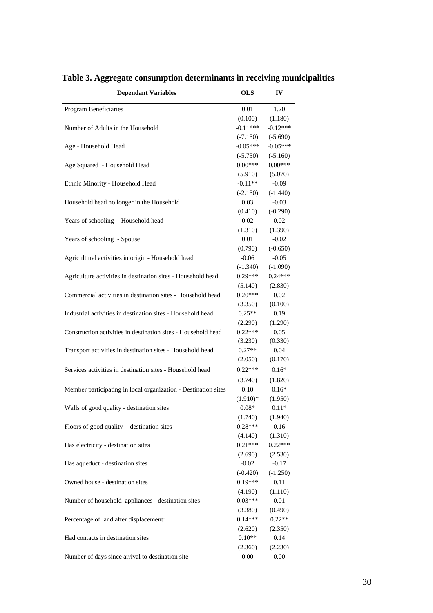| <b>Dependant Variables</b>                                     | <b>OLS</b> | IV         |
|----------------------------------------------------------------|------------|------------|
| Program Beneficiaries                                          | 0.01       | 1.20       |
|                                                                | (0.100)    | (1.180)    |
| Number of Adults in the Household                              | $-0.11***$ | $-0.12***$ |
|                                                                | $(-7.150)$ | $(-5.690)$ |
| Age - Household Head                                           | $-0.05***$ | $-0.05***$ |
|                                                                | $(-5.750)$ | $(-5.160)$ |
| Age Squared - Household Head                                   | $0.00***$  | $0.00***$  |
|                                                                | (5.910)    | (5.070)    |
| Ethnic Minority - Household Head                               | $-0.11**$  | $-0.09$    |
|                                                                | $(-2.150)$ | $(-1.440)$ |
| Household head no longer in the Household                      | 0.03       | $-0.03$    |
|                                                                | (0.410)    | $(-0.290)$ |
| Years of schooling - Household head                            | 0.02       | 0.02       |
|                                                                | (1.310)    | (1.390)    |
| Years of schooling - Spouse                                    | 0.01       | $-0.02$    |
|                                                                | (0.790)    | $(-0.650)$ |
| Agricultural activities in origin - Household head             | $-0.06$    | $-0.05$    |
|                                                                | $(-1.340)$ | $(-1.090)$ |
| Agriculture activities in destination sites - Household head   | $0.29***$  | $0.24***$  |
|                                                                | (5.140)    | (2.830)    |
| Commercial activities in destination sites - Household head    | $0.20***$  | 0.02       |
|                                                                | (3.350)    | (0.100)    |
| Industrial activities in destination sites - Household head    | $0.25**$   | 0.19       |
|                                                                | (2.290)    | (1.290)    |
| Construction activities in destination sites - Household head  | $0.22***$  | 0.05       |
|                                                                | (3.230)    | (0.330)    |
| Transport activities in destination sites - Household head     | $0.27**$   | 0.04       |
|                                                                | (2.050)    | (0.170)    |
| Services activities in destination sites - Household head      | $0.22***$  | $0.16*$    |
|                                                                | (3.740)    | (1.820)    |
| Member participating in local organization - Destination sites | 0.10       | $0.16*$    |
|                                                                | $(1.910)*$ | (1.950)    |
| Walls of good quality - destination sites                      | $0.08*$    | $0.11*$    |
|                                                                | (1.740)    | (1.940)    |
| Floors of good quality - destination sites                     | $0.28***$  | 0.16       |
|                                                                | (4.140)    | (1.310)    |
| Has electricity - destination sites                            | $0.21***$  | $0.22***$  |
|                                                                | (2.690)    | (2.530)    |
| Has aqueduct - destination sites                               | $-0.02$    | $-0.17$    |
|                                                                | $(-0.420)$ | $(-1.250)$ |
| Owned house - destination sites                                | $0.19***$  | 0.11       |
|                                                                | (4.190)    | (1.110)    |
| Number of household appliances - destination sites             | $0.03***$  | $0.01\,$   |
|                                                                | (3.380)    | (0.490)    |
| Percentage of land after displacement:                         | $0.14***$  | $0.22**$   |
|                                                                | (2.620)    | (2.350)    |
| Had contacts in destination sites                              | $0.10**$   | 0.14       |
|                                                                | (2.360)    | (2.230)    |
| Number of days since arrival to destination site               | 0.00       | 0.00       |
|                                                                |            |            |

**Table 3. Aggregate consumption determinants in receiving municipalities**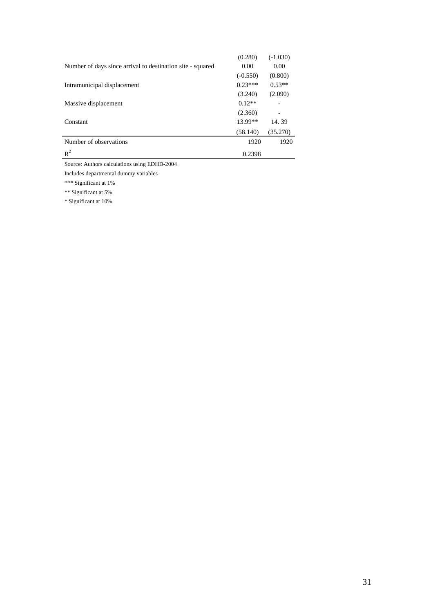|                                                            | (0.280)    | $(-1.030)$ |
|------------------------------------------------------------|------------|------------|
| Number of days since arrival to destination site - squared | 0.00       | 0.00       |
|                                                            | $(-0.550)$ | (0.800)    |
| Intramunicipal displacement                                | $0.23***$  | $0.53**$   |
|                                                            | (3.240)    | (2.090)    |
| Massive displacement                                       | $0.12**$   |            |
|                                                            | (2.360)    | -          |
| Constant                                                   | 13.99**    | 14.39      |
|                                                            | (58.140)   | (35.270)   |
| Number of observations                                     | 1920       | 1920       |
| $R^2$                                                      | 0.2398     |            |

Includes departmental dummy variables

\*\*\* Significant at 1%

\*\* Significant at 5%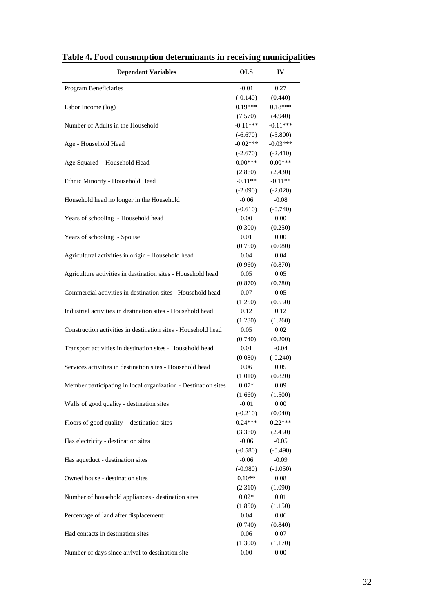| <b>Dependant Variables</b>                                     | <b>OLS</b>      | IV              |
|----------------------------------------------------------------|-----------------|-----------------|
| Program Beneficiaries                                          | $-0.01$         | 0.27            |
|                                                                | $(-0.140)$      | (0.440)         |
| Labor Income (log)                                             | $0.19***$       | $0.18***$       |
|                                                                | (7.570)         | (4.940)         |
| Number of Adults in the Household                              | $-0.11***$      | $-0.11***$      |
|                                                                | $(-6.670)$      | $(-5.800)$      |
| Age - Household Head                                           | $-0.02***$      | $-0.03***$      |
|                                                                | $(-2.670)$      | $(-2.410)$      |
| Age Squared - Household Head                                   | $0.00***$       | $0.00***$       |
|                                                                | (2.860)         | (2.430)         |
| Ethnic Minority - Household Head                               | $-0.11**$       | $-0.11**$       |
|                                                                | $(-2.090)$      | $(-2.020)$      |
| Household head no longer in the Household                      | $-0.06$         | $-0.08$         |
|                                                                | $(-0.610)$      | $(-0.740)$      |
| Years of schooling - Household head                            | 0.00            | 0.00            |
|                                                                | (0.300)         | (0.250)         |
| Years of schooling - Spouse                                    | 0.01            | 0.00            |
|                                                                | (0.750)         | (0.080)         |
| Agricultural activities in origin - Household head             | 0.04            | 0.04            |
|                                                                | (0.960)         | (0.870)         |
| Agriculture activities in destination sites - Household head   | 0.05            | 0.05            |
|                                                                |                 |                 |
| Commercial activities in destination sites - Household head    | (0.870)<br>0.07 | (0.780)<br>0.05 |
|                                                                |                 |                 |
| Industrial activities in destination sites - Household head    | (1.250)         | (0.550)         |
|                                                                | 0.12            | 0.12            |
| Construction activities in destination sites - Household head  | (1.280)<br>0.05 | (1.260)         |
|                                                                |                 | 0.02            |
|                                                                | (0.740)         | (0.200)         |
| Transport activities in destination sites - Household head     | 0.01            | $-0.04$         |
|                                                                | (0.080)         | $(-0.240)$      |
| Services activities in destination sites - Household head      | 0.06            | 0.05            |
|                                                                | (1.010)         | (0.820)         |
| Member participating in local organization - Destination sites | $0.07*$         | 0.09            |
|                                                                | (1.660)         | (1.500)         |
| Walls of good quality - destination sites                      | $-0.01$         | 0.00            |
|                                                                | $(-0.210)$      | (0.040)         |
| Floors of good quality - destination sites                     | $0.24***$       | $0.22***$       |
|                                                                | (3.360)         | (2.450)         |
| Has electricity - destination sites                            | $-0.06$         | $-0.05$         |
|                                                                | $(-0.580)$      | $(-0.490)$      |
| Has aqueduct - destination sites                               | $-0.06$         | $-0.09$         |
|                                                                | $(-0.980)$      | $(-1.050)$      |
| Owned house - destination sites                                | $0.10**$        | 0.08            |
|                                                                | (2.310)         | (1.090)         |
| Number of household appliances - destination sites             | $0.02*$         | 0.01            |
|                                                                | (1.850)         | (1.150)         |
| Percentage of land after displacement:                         | 0.04            | 0.06            |
|                                                                | (0.740)         | (0.840)         |
| Had contacts in destination sites                              | 0.06            | 0.07            |
|                                                                | (1.300)         | (1.170)         |
| Number of days since arrival to destination site               | 0.00            | 0.00            |

**Table 4. Food consumption determinants in receiving municipalities**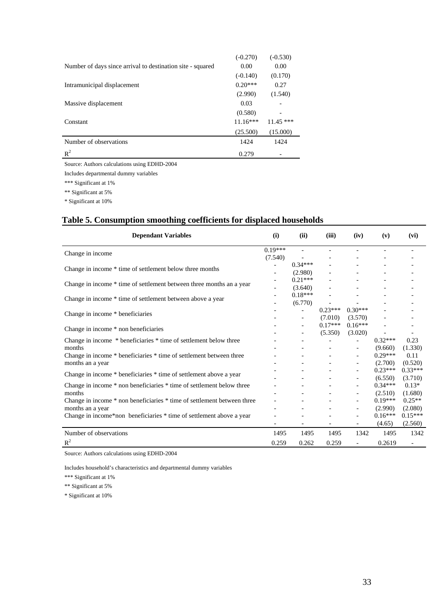|                                                            | $(-0.270)$ | $(-0.530)$  |  |
|------------------------------------------------------------|------------|-------------|--|
| Number of days since arrival to destination site - squared | 0.00       | 0.00        |  |
|                                                            | $(-0.140)$ | (0.170)     |  |
| Intramunicipal displacement                                | $0.20***$  | 0.27        |  |
|                                                            | (2.990)    | (1.540)     |  |
| Massive displacement                                       | 0.03       |             |  |
|                                                            | (0.580)    |             |  |
| Constant                                                   | $11.16***$ | $11.45$ *** |  |
|                                                            | (25.500)   | (15.000)    |  |
| Number of observations                                     | 1424       | 1424        |  |
| $R^2$                                                      | 0.279      |             |  |

Includes departmental dummy variables

\*\*\* Significant at 1%

\*\* Significant at 5%

\* Significant at 10%

## **Table 5. Consumption smoothing coefficients for displaced households**

| <b>Dependant Variables</b>                                              | (i)               | (ii)                     | (iii)     | (iv)                         | (v)       | (vi)                     |
|-------------------------------------------------------------------------|-------------------|--------------------------|-----------|------------------------------|-----------|--------------------------|
| Change in income                                                        | $0.19***$         | $\overline{a}$           |           |                              |           |                          |
|                                                                         | (7.540)           |                          |           |                              |           |                          |
| Change in income * time of settlement below three months                |                   | $0.34***$                |           |                              |           |                          |
|                                                                         | $\qquad \qquad -$ | (2.980)                  |           |                              |           |                          |
| Change in income * time of settlement between three months an a year    |                   | $0.21***$                |           |                              |           |                          |
|                                                                         |                   | (3.640)                  |           |                              |           |                          |
| Change in income * time of settlement between above a year              |                   | $0.18***$                |           |                              |           |                          |
|                                                                         |                   | (6.770)                  |           |                              |           |                          |
| Change in income * beneficiaries                                        |                   | $\overline{a}$           | $0.23***$ | $0.30***$                    |           |                          |
|                                                                         |                   | $\overline{\phantom{a}}$ | (7.010)   | (3.570)                      |           |                          |
| Change in income * non beneficiaries                                    |                   |                          | $0.17***$ | $0.16***$                    |           |                          |
|                                                                         |                   | $\overline{\phantom{0}}$ | (5.350)   | (3.020)                      |           |                          |
| Change in income * beneficiaries * time of settlement below three       |                   |                          |           | $\qquad \qquad -$            | $0.32***$ | 0.23                     |
| months                                                                  |                   |                          |           | $\qquad \qquad \blacksquare$ | (9.660)   | (1.330)                  |
| Change in income * beneficiaries * time of settlement between three     |                   |                          |           | $\overline{\phantom{a}}$     | $0.29***$ | 0.11                     |
| months an a year                                                        |                   |                          |           | $\qquad \qquad \blacksquare$ | (2.700)   | (0.520)                  |
| Change in income * beneficiaries * time of settlement above a year      |                   |                          |           | $\qquad \qquad -$            | $0.23***$ | $0.33***$                |
|                                                                         |                   |                          |           | $\qquad \qquad -$            | (6.550)   | (3.710)                  |
| Change in income * non beneficiaries * time of settlement below three   |                   |                          |           | $\qquad \qquad -$            | $0.34***$ | $0.13*$                  |
| months                                                                  |                   | $\overline{\phantom{a}}$ |           | $\overline{\phantom{a}}$     | (2.510)   | (1.680)                  |
| Change in income * non beneficiaries * time of settlement between three |                   |                          |           |                              | $0.19***$ | $0.25**$                 |
| months an a year                                                        |                   |                          |           | $\qquad \qquad -$            | (2.990)   | (2.080)                  |
| Change in income*non beneficiaries * time of settlement above a year    |                   |                          |           | $\qquad \qquad -$            | $0.16***$ | $0.15***$                |
|                                                                         |                   |                          |           | $\qquad \qquad -$            | (4.65)    | (2.560)                  |
| Number of observations                                                  | 1495              | 1495                     | 1495      | 1342                         | 1495      | 1342                     |
| $R^2$                                                                   | 0.259             | 0.262                    | 0.259     | $\overline{a}$               | 0.2619    | $\overline{\phantom{0}}$ |

Source: Authors calculations using EDHD-2004

Includes household's characteristics and departmental dummy variables

\*\*\* Significant at 1%

\*\* Significant at 5%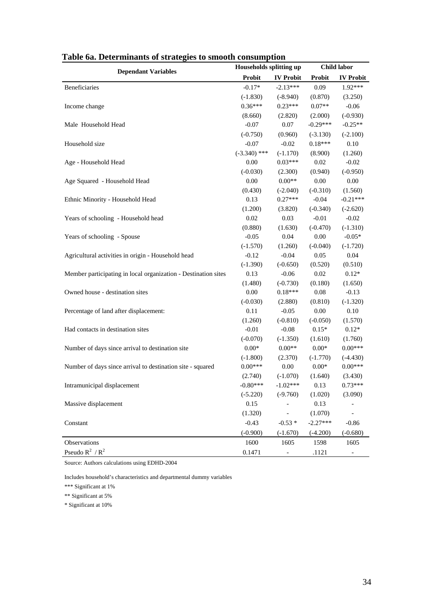| галс ба. Determinants of strategies to smooth consumption      | Households splitting up |                  | <b>Child labor</b> |                          |  |
|----------------------------------------------------------------|-------------------------|------------------|--------------------|--------------------------|--|
| <b>Dependant Variables</b>                                     | Probit                  | <b>IV</b> Probit | <b>Probit</b>      | <b>IV Probit</b>         |  |
| Beneficiaries                                                  | $-0.17*$                | $-2.13***$       | 0.09               | 1.92***                  |  |
|                                                                | $(-1.830)$              | $(-8.940)$       | (0.870)            | (3.250)                  |  |
| Income change                                                  | $0.36***$               | $0.23***$        | $0.07**$           | $-0.06$                  |  |
|                                                                | (8.660)                 | (2.820)          | (2.000)            | $(-0.930)$               |  |
| Male Household Head                                            | $-0.07$                 | 0.07             | $-0.29***$         | $-0.25**$                |  |
|                                                                | $(-0.750)$              | (0.960)          | $(-3.130)$         | $(-2.100)$               |  |
| Household size                                                 | $-0.07$                 | $-0.02$          | $0.18***$          | 0.10                     |  |
|                                                                | $(-3.340)$ ***          | $(-1.170)$       | (8.900)            | (1.260)                  |  |
| Age - Household Head                                           | 0.00                    | $0.03***$        | $0.02\,$           | $-0.02$                  |  |
|                                                                | $(-0.030)$              | (2.300)          | (0.940)            | $(-0.950)$               |  |
| Age Squared - Household Head                                   | 0.00                    | $0.00**$         | $0.00\,$           | $0.00\,$                 |  |
|                                                                | (0.430)                 | $(-2.040)$       | $(-0.310)$         | (1.560)                  |  |
| Ethnic Minority - Household Head                               | 0.13                    | $0.27***$        | $-0.04$            | $-0.21***$               |  |
|                                                                | (1.200)                 | (3.820)          | $(-0.340)$         | $(-2.620)$               |  |
| Years of schooling - Household head                            | 0.02                    | 0.03             | $-0.01$            | $-0.02$                  |  |
|                                                                | (0.880)                 | (1.630)          | $(-0.470)$         | $(-1.310)$               |  |
| Years of schooling - Spouse                                    | $-0.05$                 | 0.04             | 0.00               | $-0.05*$                 |  |
|                                                                | $(-1.570)$              | (1.260)          | $(-0.040)$         | $(-1.720)$               |  |
| Agricultural activities in origin - Household head             | $-0.12$                 | $-0.04$          | 0.05               | 0.04                     |  |
|                                                                | $(-1.390)$              | $(-0.650)$       | (0.520)            | (0.510)                  |  |
| Member participating in local organization - Destination sites | 0.13                    | $-0.06$          | 0.02               | $0.12*$                  |  |
|                                                                | (1.480)                 | $(-0.730)$       | (0.180)            | (1.650)                  |  |
| Owned house - destination sites                                | 0.00                    | $0.18***$        | 0.08               | $-0.13$                  |  |
|                                                                | $(-0.030)$              | (2.880)          | (0.810)            | $(-1.320)$               |  |
| Percentage of land after displacement:                         | 0.11                    | $-0.05$          | 0.00               | 0.10                     |  |
|                                                                | (1.260)                 | $(-0.810)$       | $(-0.050)$         | (1.570)                  |  |
| Had contacts in destination sites                              | $-0.01$                 | $-0.08$          | $0.15*$            | $0.12*$                  |  |
|                                                                | $(-0.070)$              | $(-1.350)$       | (1.610)            | (1.760)                  |  |
| Number of days since arrival to destination site               | $0.00*$                 | $0.00**$         | $0.00*$            | $0.00***$                |  |
|                                                                | $(-1.800)$              | (2.370)          | $(-1.770)$         | $(-4.430)$               |  |
| Number of days since arrival to destination site - squared     | $0.00***$               | $0.00\,$         | $0.00*$            | $0.00***$                |  |
|                                                                | (2.740)                 | $(-1.070)$       | (1.640)            | (3.430)                  |  |
| Intramunicipal displacement                                    | $-0.80***$              | $-1.02***$       | 0.13               | $0.73***$                |  |
|                                                                | $(-5.220)$              | $(-9.760)$       | (1.020)            | (3.090)                  |  |
| Massive displacement                                           | 0.15                    |                  | 0.13               |                          |  |
|                                                                | (1.320)                 |                  | (1.070)            |                          |  |
| Constant                                                       | $-0.43$                 | $-0.53*$         | $-2.27***$         | $-0.86$                  |  |
|                                                                | $(-0.900)$              | $(-1.670)$       | $(-4.200)$         | $(-0.680)$               |  |
| Observations                                                   | 1600                    | 1605             | 1598               | 1605                     |  |
| Pseudo $R^2/R^2$                                               | 0.1471                  | $\blacksquare$   | .1121              | $\overline{\phantom{a}}$ |  |

**Table 6a. Determinants of strategies to smooth consumption** 

Includes household's characteristics and departmental dummy variables

\*\*\* Significant at 1%

\*\* Significant at 5%